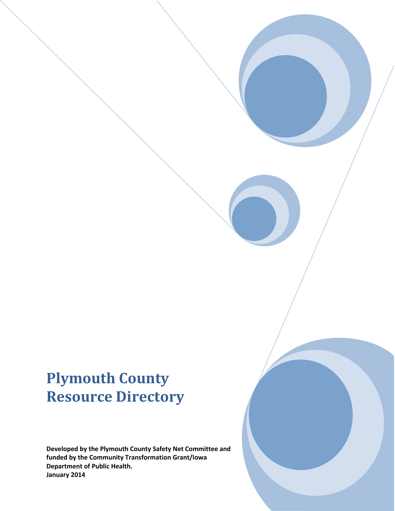# **Plymouth County Resource Directory**

**Developed by the Plymouth County Safety Net Committee and funded by the Community Transformation Grant/Iowa Department of Public Health. January 2014**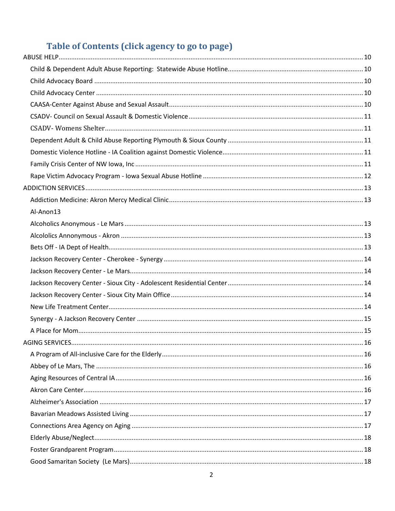## Table of Contents (click agency to go to page)

| Al-Anon13 |  |
|-----------|--|
|           |  |
|           |  |
|           |  |
|           |  |
|           |  |
|           |  |
|           |  |
|           |  |
|           |  |
|           |  |
|           |  |
|           |  |
|           |  |
|           |  |
|           |  |
|           |  |
|           |  |
|           |  |
|           |  |
|           |  |
|           |  |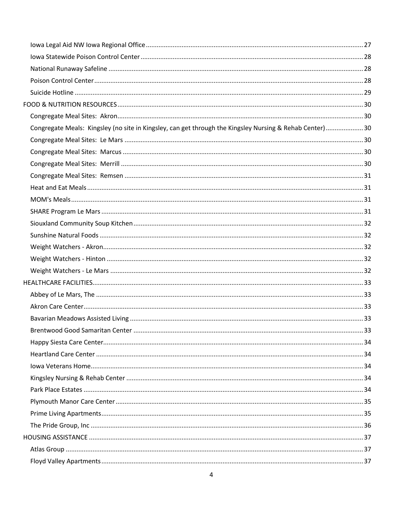| Congregate Meals: Kingsley (no site in Kingsley, can get through the Kingsley Nursing & Rehab Center)30 |  |
|---------------------------------------------------------------------------------------------------------|--|
|                                                                                                         |  |
|                                                                                                         |  |
|                                                                                                         |  |
|                                                                                                         |  |
|                                                                                                         |  |
|                                                                                                         |  |
|                                                                                                         |  |
|                                                                                                         |  |
|                                                                                                         |  |
|                                                                                                         |  |
|                                                                                                         |  |
|                                                                                                         |  |
|                                                                                                         |  |
|                                                                                                         |  |
|                                                                                                         |  |
|                                                                                                         |  |
|                                                                                                         |  |
|                                                                                                         |  |
|                                                                                                         |  |
|                                                                                                         |  |
|                                                                                                         |  |
|                                                                                                         |  |
|                                                                                                         |  |
|                                                                                                         |  |
|                                                                                                         |  |
|                                                                                                         |  |
|                                                                                                         |  |
|                                                                                                         |  |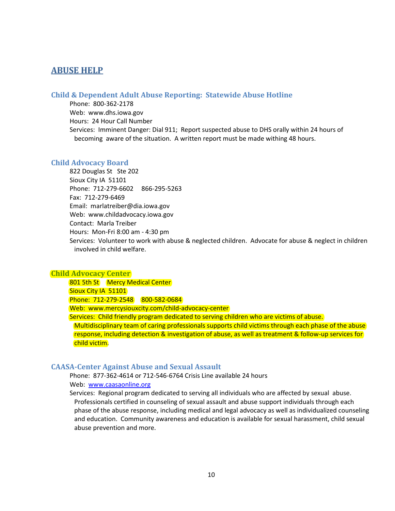### <span id="page-9-0"></span>**ABUSE HELP**

### <span id="page-9-1"></span>**Child & Dependent Adult Abuse Reporting: Statewide Abuse Hotline**

Phone: 800-362-2178 Web: www.dhs.iowa.gov Hours: 24 Hour Call Number Services: Imminent Danger: Dial 911; Report suspected abuse to DHS orally within 24 hours of becoming aware of the situation. A written report must be made withing 48 hours.

#### <span id="page-9-2"></span>**Child Advocacy Board**

822 Douglas St Ste 202 Sioux City IA 51101 Phone: 712-279-6602 866-295-5263 Fax: 712-279-6469 Email: marlatreiber@dia.iowa.gov Web: www.childadvocacy.iowa.gov Contact: Marla Treiber Hours: Mon-Fri 8:00 am - 4:30 pm Services: Volunteer to work with abuse & neglected children. Advocate for abuse & neglect in children involved in child welfare.

#### <span id="page-9-3"></span>**Child Advocacy Center**

801 5th St Mercy Medical Center Sioux City IA 51101 Phone: 712-279-2548 800-582-0684 Web: www.mercysiouxcity.com/child-advocacy-center Services: Child friendly program dedicated to serving children who are victims of abuse. Multidisciplinary team of caring professionals supports child victims through each phase of the abuse response, including detection & investigation of abuse, as well as treatment & follow-up services for child victim.

### <span id="page-9-4"></span>**CAASA-Center Against Abuse and Sexual Assault**

Phone: 877-362-4614 or 712-546-6764 Crisis Line available 24 hours Web: [www.caasaonline.org](http://www.caasaonline.org/)

Services: Regional program dedicated to serving all individuals who are affected by sexual abuse. Professionals certified in counseling of sexual assault and abuse support individuals through each phase of the abuse response, including medical and legal advocacy as well as individualized counseling and education. Community awareness and education is available for sexual harassment, child sexual abuse prevention and more.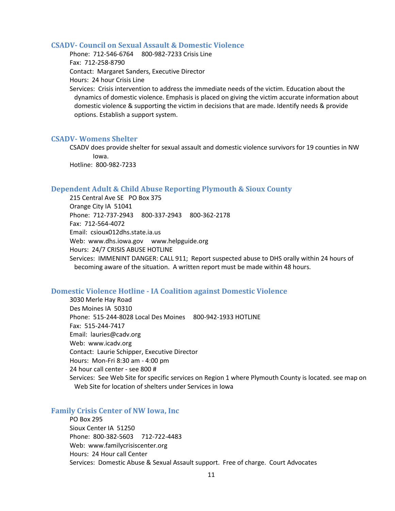#### <span id="page-10-0"></span>**CSADV- Council on Sexual Assault & Domestic Violence**

Phone: 712-546-6764 800-982-7233 Crisis Line Fax: 712-258-8790 Contact: Margaret Sanders, Executive Director Hours: 24 hour Crisis Line

Services: Crisis intervention to address the immediate needs of the victim. Education about the dynamics of domestic violence. Emphasis is placed on giving the victim accurate information about domestic violence & supporting the victim in decisions that are made. Identify needs & provide options. Establish a support system.

#### <span id="page-10-1"></span>**CSADV- Womens Shelter**

CSADV does provide shelter for sexual assault and domestic violence survivors for 19 counties in NW Iowa.

Hotline: 800-982-7233

### <span id="page-10-2"></span>**Dependent Adult & Child Abuse Reporting Plymouth & Sioux County**

215 Central Ave SE PO Box 375 Orange City IA 51041 Phone: 712-737-2943 800-337-2943 800-362-2178 Fax: 712-564-4072 Email: csioux012dhs.state.ia.us Web: www.dhs.iowa.gov www.helpguide.org Hours: 24/7 CRISIS ABUSE HOTLINE Services: IMMENINT DANGER: CALL 911; Report suspected abuse to DHS orally within 24 hours of becoming aware of the situation. A written report must be made within 48 hours.

#### <span id="page-10-3"></span>**Domestic Violence Hotline - IA Coalition against Domestic Violence**

3030 Merle Hay Road Des Moines IA 50310 Phone: 515-244-8028 Local Des Moines 800-942-1933 HOTLINE Fax: 515-244-7417 Email: lauries@cadv.org Web: www.icadv.org Contact: Laurie Schipper, Executive Director Hours: Mon-Fri 8:30 am - 4:00 pm 24 hour call center - see 800 # Services: See Web Site for specific services on Region 1 where Plymouth County is located. see map on Web Site for location of shelters under Services in Iowa

#### <span id="page-10-4"></span>**Family Crisis Center of NW Iowa, Inc**

PO Box 295 Sioux Center IA 51250 Phone: 800-382-5603 712-722-4483 Web: www.familycrisiscenter.org Hours: 24 Hour call Center Services: Domestic Abuse & Sexual Assault support. Free of charge. Court Advocates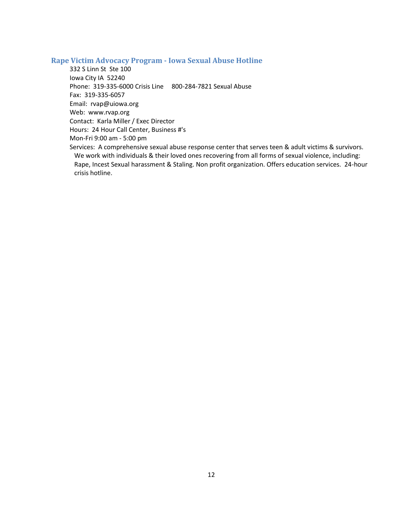### <span id="page-11-0"></span>**Rape Victim Advocacy Program - Iowa Sexual Abuse Hotline**

332 S Linn St Ste 100 Iowa City IA 52240 Phone: 319-335-6000 Crisis Line 800-284-7821 Sexual Abuse Fax: 319-335-6057 Email: rvap@uiowa.org Web: www.rvap.org Contact: Karla Miller / Exec Director Hours: 24 Hour Call Center, Business #'s Mon-Fri 9:00 am - 5:00 pm Services: A comprehensive sexual abuse response center that serves teen & adult victims & survivors. We work with individuals & their loved ones recovering from all forms of sexual violence, including:

Rape, Incest Sexual harassment & Staling. Non profit organization. Offers education services. 24-hour crisis hotline.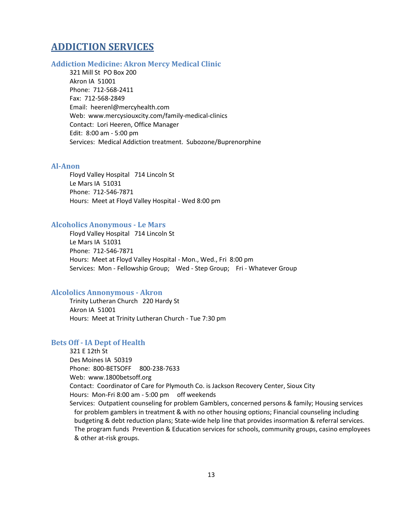## <span id="page-12-0"></span>**ADDICTION SERVICES**

### <span id="page-12-1"></span>**Addiction Medicine: Akron Mercy Medical Clinic**

321 Mill St PO Box 200 Akron IA 51001 Phone: 712-568-2411 Fax: 712-568-2849 Email: heerenl@mercyhealth.com Web: www.mercysiouxcity.com/family-medical-clinics Contact: Lori Heeren, Office Manager Edit: 8:00 am - 5:00 pm Services: Medical Addiction treatment. Subozone/Buprenorphine

### <span id="page-12-2"></span>**Al-Anon**

Floyd Valley Hospital 714 Lincoln St Le Mars IA 51031 Phone: 712-546-7871 Hours: Meet at Floyd Valley Hospital - Wed 8:00 pm

### <span id="page-12-3"></span>**Alcoholics Anonymous - Le Mars**

Floyd Valley Hospital 714 Lincoln St Le Mars IA 51031 Phone: 712-546-7871 Hours: Meet at Floyd Valley Hospital - Mon., Wed., Fri 8:00 pm Services: Mon - Fellowship Group; Wed - Step Group; Fri - Whatever Group

#### <span id="page-12-4"></span>**Alcololics Annonymous - Akron**

Trinity Lutheran Church 220 Hardy St Akron IA 51001 Hours: Meet at Trinity Lutheran Church - Tue 7:30 pm

#### <span id="page-12-5"></span>**Bets Off - IA Dept of Health**

321 E 12th St Des Moines IA 50319 Phone: 800-BETSOFF 800-238-7633 Web: www.1800betsoff.org Contact: Coordinator of Care for Plymouth Co. is Jackson Recovery Center, Sioux City Hours: Mon-Fri 8:00 am - 5:00 pm off weekends Services: Outpatient counseling for problem Gamblers, concerned persons & family; Housing services for problem gamblers in treatment & with no other housing options; Financial counseling including budgeting & debt reduction plans; State-wide help line that provides insormation & referral services. The program funds Prevention & Education services for schools, community groups, casino employees & other at-risk groups.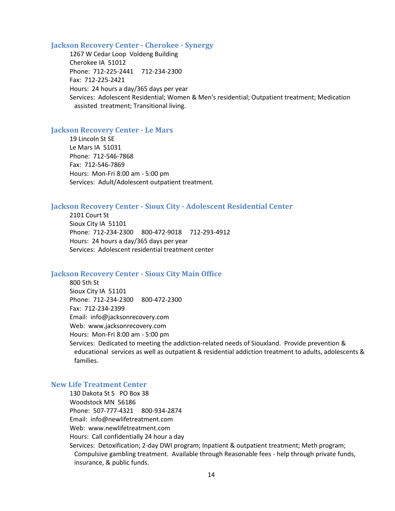#### <span id="page-13-0"></span>**Jackson Recovery Center - Cherokee - Synergy**

1267 W Cedar Loop Voldeng Building Cherokee IA 51012 Phone: 712-225-2441 712-234-2300 Fax: 712-225-2421 Hours: 24 hours a day/365 days per year Services: Adolescent Residential; Women & Men's residential; Outpatient treatment; Medication assisted treatment; Transitional living.

#### <span id="page-13-1"></span>**Jackson Recovery Center - Le Mars**

19 Lincoln St SE Le Mars IA 51031 Phone: 712-546-7868 Fax: 712-546-7869 Hours: Mon-Fri 8:00 am - 5:00 pm Services: Adult/Adolescent outpatient treatment.

### <span id="page-13-2"></span>**Jackson Recovery Center - Sioux City - Adolescent Residential Center**

2101 Court St Sioux City IA 51101 Phone: 712-234-2300 800-472-9018 712-293-4912 Hours: 24 hours a day/365 days per year Services: Adolescent residential treatment center

#### <span id="page-13-3"></span>**Jackson Recovery Center - Sioux City Main Office**

800 5th St Sioux City IA 51101 Phone: 712-234-2300 800-472-2300 Fax: 712-234-2399 Email: info@jacksonrecovery.com Web: www.jacksonrecovery.com Hours: Mon-Fri 8:00 am - 5:00 pm Services: Dedicated to meeting the addiction-related needs of Siouxland. Provide prevention & educational services as well as outpatient & residential addiction treatment to adults, adolescents & families.

### <span id="page-13-4"></span>**New Life Treatment Center**

130 Dakota St S PO Box 38 Woodstock MN 56186 Phone: 507-777-4321 800-934-2874 Email: info@newlifetreatment.com Web: www.newlifetreatment.com Hours: Call confidentially 24 hour a day Services: Detoxification; 2-day DWI program; Inpatient & outpatient treatment; Meth program; Compulsive gambling treatment. Available through Reasonable fees - help through private funds, insurance, & public funds.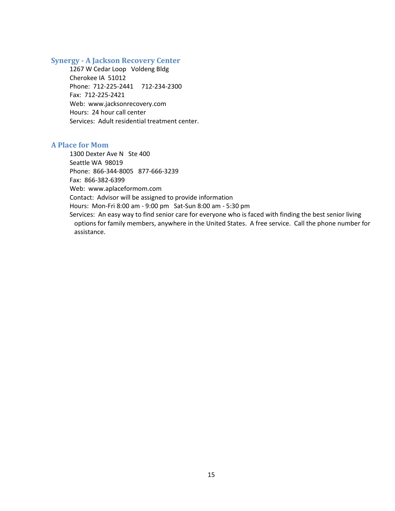### <span id="page-14-0"></span>**Synergy - A Jackson Recovery Center**

1267 W Cedar Loop Voldeng Bldg Cherokee IA 51012 Phone: 712-225-2441 712-234-2300 Fax: 712-225-2421 Web: www.jacksonrecovery.com Hours: 24 hour call center Services: Adult residential treatment center.

### <span id="page-14-1"></span>**A Place for Mom**

1300 Dexter Ave N Ste 400 Seattle WA 98019 Phone: 866-344-8005 877-666-3239 Fax: 866-382-6399 Web: www.aplaceformom.com Contact: Advisor will be assigned to provide information Hours: Mon-Fri 8:00 am - 9:00 pm Sat-Sun 8:00 am - 5:30 pm Services: An easy way to find senior care for everyone who is faced with finding the best senior living options for family members, anywhere in the United States. A free service. Call the phone number for assistance.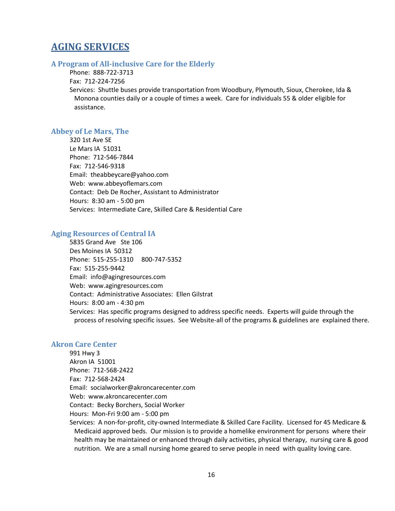## <span id="page-15-0"></span>**AGING SERVICES**

### <span id="page-15-1"></span>**A Program of All-inclusive Care for the Elderly**

Phone: 888-722-3713

### Fax: 712-224-7256

Services: Shuttle buses provide transportation from Woodbury, Plymouth, Sioux, Cherokee, Ida & Monona counties daily or a couple of times a week. Care for individuals 55 & older eligible for assistance.

### <span id="page-15-2"></span>**Abbey of Le Mars, The**

320 1st Ave SE Le Mars IA 51031 Phone: 712-546-7844 Fax: 712-546-9318 Email: theabbeycare@yahoo.com Web: www.abbeyoflemars.com Contact: Deb De Rocher, Assistant to Administrator Hours: 8:30 am - 5:00 pm Services: Intermediate Care, Skilled Care & Residential Care

### <span id="page-15-3"></span>**Aging Resources of Central IA**

5835 Grand Ave Ste 106 Des Moines IA 50312 Phone: 515-255-1310 800-747-5352 Fax: 515-255-9442 Email: info@agingresources.com Web: www.agingresources.com Contact: Administrative Associates: Ellen Gilstrat Hours: 8:00 am - 4:30 pm Services: Has specific programs designed to address specific needs. Experts will guide through the process of resolving specific issues. See Website-all of the programs & guidelines are explained there.

### <span id="page-15-4"></span>**Akron Care Center**

991 Hwy 3 Akron IA 51001 Phone: 712-568-2422 Fax: 712-568-2424 Email: socialworker@akroncarecenter.com Web: www.akroncarecenter.com Contact: Becky Borchers, Social Worker Hours: Mon-Fri 9:00 am - 5:00 pm

Services: A non-for-profit, city-owned Intermediate & Skilled Care Facility. Licensed for 45 Medicare & Medicaid approved beds. Our mission is to provide a homelike environment for persons where their health may be maintained or enhanced through daily activities, physical therapy, nursing care & good nutrition. We are a small nursing home geared to serve people in need with quality loving care.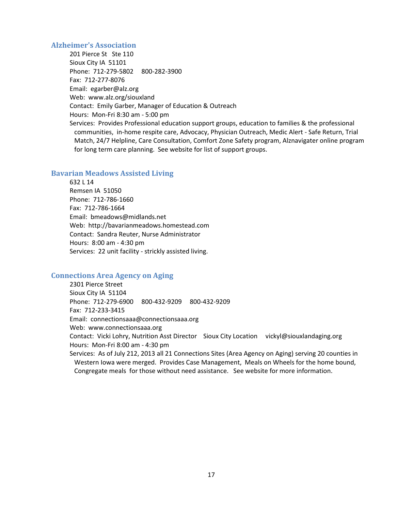#### <span id="page-16-0"></span>**Alzheimer's Association**

201 Pierce St Ste 110 Sioux City IA 51101 Phone: 712-279-5802 800-282-3900 Fax: 712-277-8076 Email: egarber@alz.org Web: www.alz.org/siouxland Contact: Emily Garber, Manager of Education & Outreach Hours: Mon-Fri 8:30 am - 5:00 pm Services: Provides Professional education support groups, education to families & the professional communities, in-home respite care, Advocacy, Physician Outreach, Medic Alert - Safe Return, Trial Match, 24/7 Helpline, Care Consultation, Comfort Zone Safety program, Alznavigater online program for long term care planning. See website for list of support groups.

### <span id="page-16-1"></span>**Bavarian Meadows Assisted Living**

632 L 14 Remsen IA 51050 Phone: 712-786-1660 Fax: 712-786-1664 Email: bmeadows@midlands.net Web: http://bavarianmeadows.homestead.com Contact: Sandra Reuter, Nurse Administrator Hours: 8:00 am - 4:30 pm Services: 22 unit facility - strickly assisted living.

### <span id="page-16-2"></span>**Connections Area Agency on Aging**

2301 Pierce Street Sioux City IA 51104 Phone: 712-279-6900 800-432-9209 800-432-9209 Fax: 712-233-3415 Email: connectionsaaa@connectionsaaa.org Web: www.connectionsaaa.org Contact: Vicki Lohry, Nutrition Asst Director Sioux City Location vickyl@siouxlandaging.org Hours: Mon-Fri 8:00 am - 4:30 pm Services: As of July 212, 2013 all 21 Connections Sites (Area Agency on Aging) serving 20 counties in Western Iowa were merged. Provides Case Management, Meals on Wheels for the home bound,

Congregate meals for those without need assistance. See website for more information.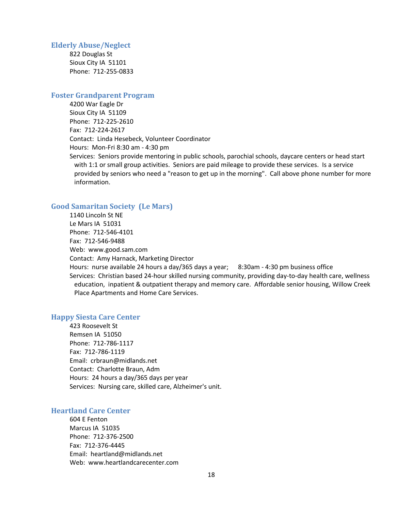#### <span id="page-17-0"></span>**Elderly Abuse/Neglect**

822 Douglas St Sioux City IA 51101 Phone: 712-255-0833

### <span id="page-17-1"></span>**Foster Grandparent Program**

4200 War Eagle Dr Sioux City IA 51109 Phone: 712-225-2610 Fax: 712-224-2617 Contact: Linda Hesebeck, Volunteer Coordinator Hours: Mon-Fri 8:30 am - 4:30 pm Services: Seniors provide mentoring in public schools, parochial schools, daycare centers or head start with 1:1 or small group activities. Seniors are paid mileage to provide these services. Is a service provided by seniors who need a "reason to get up in the morning". Call above phone number for more information.

### <span id="page-17-2"></span>**Good Samaritan Society (Le Mars)**

1140 Lincoln St NE Le Mars IA 51031 Phone: 712-546-4101 Fax: 712-546-9488 Web: www.good.sam.com Contact: Amy Harnack, Marketing Director Hours: nurse available 24 hours a day/365 days a year; 8:30am - 4:30 pm business office Services: Christian based 24-hour skilled nursing community, providing day-to-day health care, wellness education, inpatient & outpatient therapy and memory care. Affordable senior housing, Willow Creek Place Apartments and Home Care Services.

### <span id="page-17-3"></span>**Happy Siesta Care Center**

423 Roosevelt St Remsen IA 51050 Phone: 712-786-1117 Fax: 712-786-1119 Email: crbraun@midlands.net Contact: Charlotte Braun, Adm Hours: 24 hours a day/365 days per year Services: Nursing care, skilled care, Alzheimer's unit.

#### <span id="page-17-4"></span>**Heartland Care Center**

604 E Fenton Marcus IA 51035 Phone: 712-376-2500 Fax: 712-376-4445 Email: heartland@midlands.net Web: www.heartlandcarecenter.com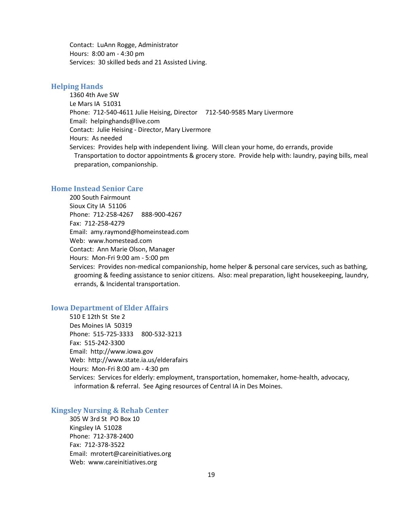Contact: LuAnn Rogge, Administrator Hours: 8:00 am - 4:30 pm Services: 30 skilled beds and 21 Assisted Living.

### <span id="page-18-0"></span>**Helping Hands**

1360 4th Ave SW Le Mars IA 51031 Phone: 712-540-4611 Julie Heising, Director 712-540-9585 Mary Livermore Email: helpinghands@live.com Contact: Julie Heising - Director, Mary Livermore Hours: As needed Services: Provides help with independent living. Will clean your home, do errands, provide Transportation to doctor appointments & grocery store. Provide help with: laundry, paying bills, meal preparation, companionship.

### <span id="page-18-1"></span>**Home Instead Senior Care**

200 South Fairmount Sioux City IA 51106 Phone: 712-258-4267 888-900-4267 Fax: 712-258-4279 Email: amy.raymond@homeinstead.com Web: www.homestead.com Contact: Ann Marie Olson, Manager Hours: Mon-Fri 9:00 am - 5:00 pm Services: Provides non-medical companionship, home helper & personal care services, such as bathing, grooming & feeding assistance to senior citizens. Also: meal preparation, light housekeeping, laundry, errands, & Incidental transportation.

### <span id="page-18-2"></span>**Iowa Department of Elder Affairs**

510 E 12th St Ste 2 Des Moines IA 50319 Phone: 515-725-3333 800-532-3213 Fax: 515-242-3300 Email: http://www.iowa.gov Web: http://www.state.ia.us/elderafairs Hours: Mon-Fri 8:00 am - 4:30 pm Services: Services for elderly: employment, transportation, homemaker, home-health, advocacy, information & referral. See Aging resources of Central IA in Des Moines.

### <span id="page-18-3"></span>**Kingsley Nursing & Rehab Center**

305 W 3rd St PO Box 10 Kingsley IA 51028 Phone: 712-378-2400 Fax: 712-378-3522 Email: mrotert@careinitiatives.org Web: www.careinitiatives.org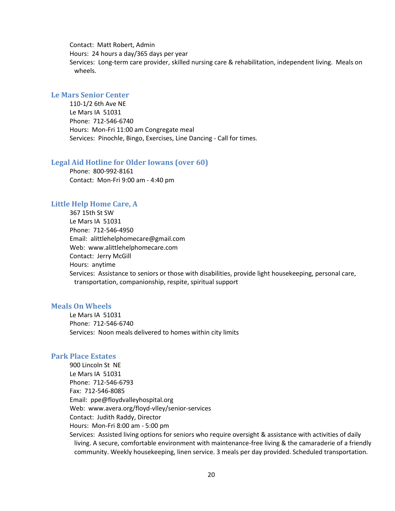Contact: Matt Robert, Admin Hours: 24 hours a day/365 days per year Services: Long-term care provider, skilled nursing care & rehabilitation, independent living. Meals on wheels.

### <span id="page-19-0"></span>**Le Mars Senior Center**

110-1/2 6th Ave NE Le Mars IA 51031 Phone: 712-546-6740 Hours: Mon-Fri 11:00 am Congregate meal Services: Pinochle, Bingo, Exercises, Line Dancing - Call for times.

#### <span id="page-19-1"></span>**Legal Aid Hotline for Older Iowans (over 60)**

Phone: 800-992-8161 Contact: Mon-Fri 9:00 am - 4:40 pm

#### <span id="page-19-2"></span>**Little Help Home Care, A**

367 15th St SW Le Mars IA 51031 Phone: 712-546-4950 Email: alittlehelphomecare@gmail.com Web: www.alittlehelphomecare.com Contact: Jerry McGill Hours: anytime Services: Assistance to seniors or those with disabilities, provide light housekeeping, personal care, transportation, companionship, respite, spiritual support

### <span id="page-19-3"></span>**Meals On Wheels**

Le Mars IA 51031 Phone: 712-546-6740 Services: Noon meals delivered to homes within city limits

### <span id="page-19-4"></span>**Park Place Estates**

900 Lincoln St NE Le Mars IA 51031 Phone: 712-546-6793 Fax: 712-546-8085 Email: ppe@floydvalleyhospital.org Web: www.avera.org/floyd-vlley/senior-services Contact: Judith Raddy, Director Hours: Mon-Fri 8:00 am - 5:00 pm Services: Assisted living options for seniors who require oversight & assistance with activities of daily living. A secure, comfortable environment with maintenance-free living & the camaraderie of a friendly community. Weekly housekeeping, linen service. 3 meals per day provided. Scheduled transportation.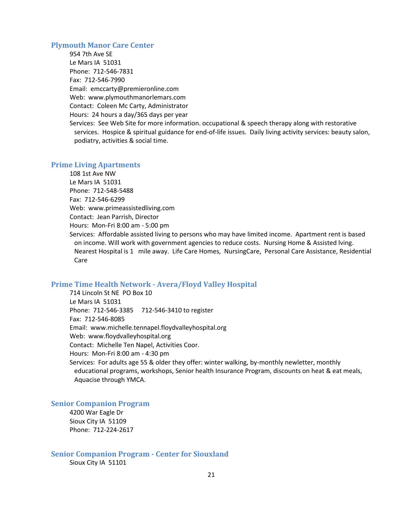#### <span id="page-20-0"></span>**Plymouth Manor Care Center**

954 7th Ave SE Le Mars IA 51031 Phone: 712-546-7831 Fax: 712-546-7990 Email: emccarty@premieronline.com Web: www.plymouthmanorlemars.com Contact: Coleen Mc Carty, Administrator Hours: 24 hours a day/365 days per year Services: See Web Site for more information. occupational & speech therapy along with restorative services. Hospice & spiritual guidance for end-of-life issues. Daily living activity services: beauty salon, podiatry, activities & social time.

#### <span id="page-20-1"></span>**Prime Living Apartments**

108 1st Ave NW Le Mars IA 51031 Phone: 712-548-5488 Fax: 712-546-6299 Web: www.primeassistedliving.com Contact: Jean Parrish, Director Hours: Mon-Fri 8:00 am - 5:00 pm

Services: Affordable assisted living to persons who may have limited income. Apartment rent is based on income. Will work with government agencies to reduce costs. Nursing Home & Assisted lving. Nearest Hospital is 1 mile away. Life Care Homes, NursingCare, Personal Care Assistance, Residential Care

### <span id="page-20-2"></span>**Prime Time Health Network - Avera/Floyd Valley Hospital**

714 Lincoln St NE PO Box 10 Le Mars IA 51031 Phone: 712-546-3385 712-546-3410 to register Fax: 712-546-8085 Email: www.michelle.tennapel.floydvalleyhospital.org Web: www.floydvalleyhospital.org Contact: Michelle Ten Napel, Activities Coor. Hours: Mon-Fri 8:00 am - 4:30 pm Services: For adults age 55 & older they offer: winter walking, by-monthly newletter, monthly educational programs, workshops, Senior health Insurance Program, discounts on heat & eat meals, Aquacise through YMCA.

### <span id="page-20-3"></span>**Senior Companion Program**

4200 War Eagle Dr Sioux City IA 51109 Phone: 712-224-2617

<span id="page-20-4"></span>**Senior Companion Program - Center for Siouxland** Sioux City IA 51101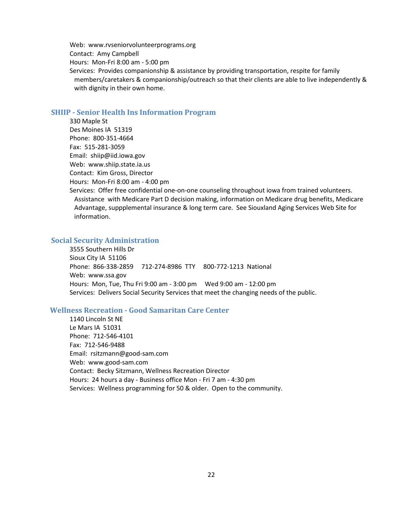Web: www.rvseniorvolunteerprograms.org Contact: Amy Campbell Hours: Mon-Fri 8:00 am - 5:00 pm Services: Provides companionship & assistance by providing transportation, respite for family members/caretakers & companionship/outreach so that their clients are able to live independently & with dignity in their own home.

#### <span id="page-21-0"></span>**SHIIP - Senior Health Ins Information Program**

330 Maple St Des Moines IA 51319 Phone: 800-351-4664 Fax: 515-281-3059 Email: shiip@iid.iowa.gov Web: www.shiip.state.ia.us Contact: Kim Gross, Director Hours: Mon-Fri 8:00 am - 4:00 pm

Services: Offer free confidential one-on-one counseling throughout iowa from trained volunteers. Assistance with Medicare Part D decision making, information on Medicare drug benefits, Medicare Advantage, suppplemental insurance & long term care. See Siouxland Aging Services Web Site for information.

### <span id="page-21-1"></span>**Social Security Administration**

3555 Southern Hills Dr Sioux City IA 51106 Phone: 866-338-2859 712-274-8986 TTY 800-772-1213 National Web: www.ssa.gov Hours: Mon, Tue, Thu Fri 9:00 am - 3:00 pm Wed 9:00 am - 12:00 pm Services: Delivers Social Security Services that meet the changing needs of the public.

### **Wellness Recreation - Good Samaritan Care Center**

1140 Lincoln St NE Le Mars IA 51031 Phone: 712-546-4101 Fax: 712-546-9488 Email: rsitzmann@good-sam.com Web: www.good-sam.com Contact: Becky Sitzmann, Wellness Recreation Director Hours: 24 hours a day - Business office Mon - Fri 7 am - 4:30 pm Services: Wellness programming for 50 & older. Open to the community.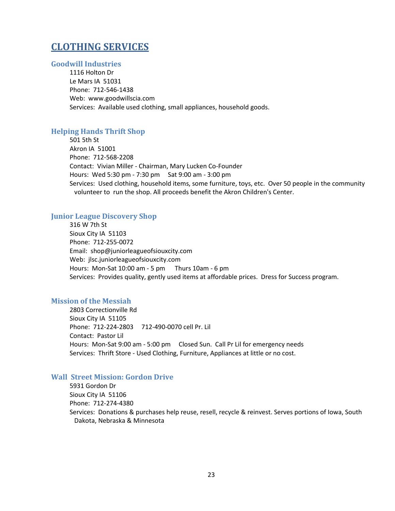## <span id="page-22-0"></span>**CLOTHING SERVICES**

### <span id="page-22-1"></span>**Goodwill Industries**

1116 Holton Dr Le Mars IA 51031 Phone: 712-546-1438 Web: www.goodwillscia.com Services: Available used clothing, small appliances, household goods.

### <span id="page-22-2"></span>**Helping Hands Thrift Shop**

501 5th St Akron IA 51001 Phone: 712-568-2208 Contact: Vivian Miller - Chairman, Mary Lucken Co-Founder Hours: Wed 5:30 pm - 7:30 pm Sat 9:00 am - 3:00 pm Services: Used clothing, household items, some furniture, toys, etc. Over 50 people in the community volunteer to run the shop. All proceeds benefit the Akron Children's Center.

### <span id="page-22-3"></span>**Junior League Discovery Shop**

316 W 7th St Sioux City IA 51103 Phone: 712-255-0072 Email: shop@juniorleagueofsiouxcity.com Web: jlsc.juniorleagueofsiouxcity.com Hours: Mon-Sat 10:00 am - 5 pm Thurs 10am - 6 pm Services: Provides quality, gently used items at affordable prices. Dress for Success program.

#### <span id="page-22-4"></span>**Mission of the Messiah**

2803 Correctionville Rd Sioux City IA 51105 Phone: 712-224-2803 712-490-0070 cell Pr. Lil Contact: Pastor Lil Hours: Mon-Sat 9:00 am - 5:00 pm Closed Sun. Call Pr Lil for emergency needs Services: Thrift Store - Used Clothing, Furniture, Appliances at little or no cost.

### <span id="page-22-5"></span>**Wall Street Mission: Gordon Drive**

5931 Gordon Dr Sioux City IA 51106 Phone: 712-274-4380 Services: Donations & purchases help reuse, resell, recycle & reinvest. Serves portions of Iowa, South Dakota, Nebraska & Minnesota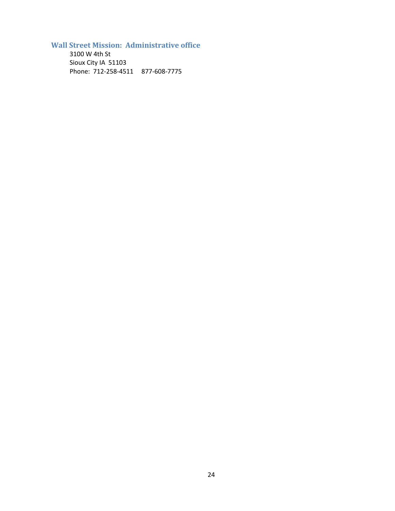<span id="page-23-0"></span>**Wall Street Mission: Administrative office**

3100 W 4th St Sioux City IA 51103 Phone: 712-258-4511 877-608-7775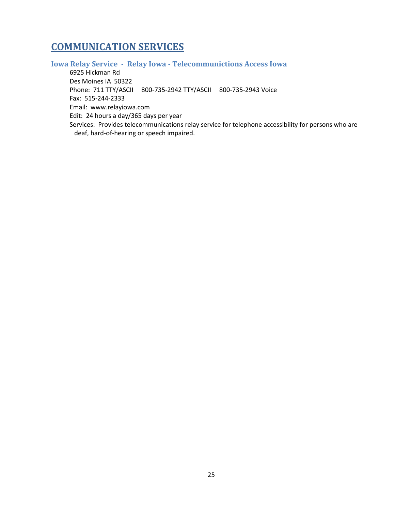## <span id="page-24-0"></span>**COMMUNICATION SERVICES**

## <span id="page-24-1"></span>**Iowa Relay Service - Relay Iowa - Telecommunictions Access Iowa**

6925 Hickman Rd Des Moines IA 50322 Phone: 711 TTY/ASCII 800-735-2942 TTY/ASCII 800-735-2943 Voice Fax: 515-244-2333 Email: www.relayiowa.com Edit: 24 hours a day/365 days per year Services: Provides telecommunications relay service for telephone accessibility for persons who are deaf, hard-of-hearing or speech impaired.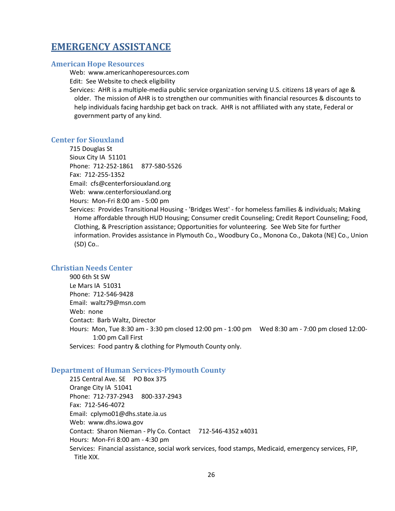## <span id="page-25-0"></span>**EMERGENCY ASSISTANCE**

### <span id="page-25-1"></span>**American Hope Resources**

Web: www.americanhoperesources.com Edit: See Website to check eligibility

Services: AHR is a multiple-media public service organization serving U.S. citizens 18 years of age & older. The mission of AHR is to strengthen our communities with financial resources & discounts to help individuals facing hardship get back on track. AHR is not affiliated with any state, Federal or government party of any kind.

### <span id="page-25-2"></span>**Center for Siouxland**

715 Douglas St Sioux City IA 51101 Phone: 712-252-1861 877-580-5526 Fax: 712-255-1352 Email: cfs@centerforsiouxland.org Web: www.centerforsiouxland.org Hours: Mon-Fri 8:00 am - 5:00 pm

Services: Provides Transitional Housing - 'Bridges West' - for homeless families & individuals; Making Home affordable through HUD Housing; Consumer credit Counseling; Credit Report Counseling; Food, Clothing, & Prescription assistance; Opportunities for volunteering. See Web Site for further information. Provides assistance in Plymouth Co., Woodbury Co., Monona Co., Dakota (NE) Co., Union (SD) Co..

### <span id="page-25-3"></span>**Christian Needs Center**

900 6th St SW Le Mars IA 51031 Phone: 712-546-9428 Email: waltz79@msn.com Web: none Contact: Barb Waltz, Director Hours: Mon, Tue 8:30 am - 3:30 pm closed 12:00 pm - 1:00 pm Wed 8:30 am - 7:00 pm closed 12:00- 1:00 pm Call First Services: Food pantry & clothing for Plymouth County only.

### <span id="page-25-4"></span>**Department of Human Services-Plymouth County**

215 Central Ave. SE PO Box 375 Orange City IA 51041 Phone: 712-737-2943 800-337-2943 Fax: 712-546-4072 Email: cplymo01@dhs.state.ia.us Web: www.dhs.iowa.gov Contact: Sharon Nieman - Ply Co. Contact 712-546-4352 x4031 Hours: Mon-Fri 8:00 am - 4:30 pm Services: Financial assistance, social work services, food stamps, Medicaid, emergency services, FIP, Title XIX.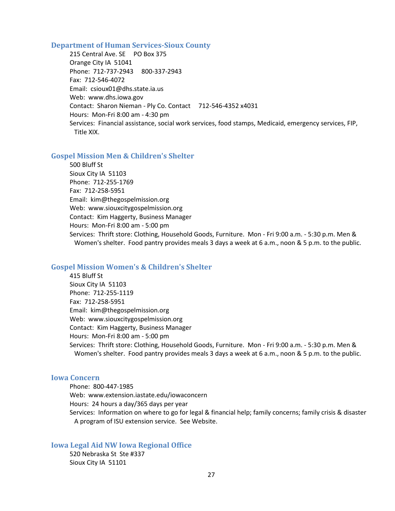#### <span id="page-26-0"></span>**Department of Human Services-Sioux County**

215 Central Ave. SE PO Box 375 Orange City IA 51041 Phone: 712-737-2943 800-337-2943 Fax: 712-546-4072 Email: csioux01@dhs.state.ia.us Web: www.dhs.iowa.gov Contact: Sharon Nieman - Ply Co. Contact 712-546-4352 x4031 Hours: Mon-Fri 8:00 am - 4:30 pm Services: Financial assistance, social work services, food stamps, Medicaid, emergency services, FIP, Title XIX.

### <span id="page-26-1"></span>**Gospel Mission Men & Children's Shelter**

500 Bluff St Sioux City IA 51103 Phone: 712-255-1769 Fax: 712-258-5951 Email: kim@thegospelmission.org Web: www.siouxcitygospelmission.org Contact: Kim Haggerty, Business Manager Hours: Mon-Fri 8:00 am - 5:00 pm Services: Thrift store: Clothing, Household Goods, Furniture. Mon - Fri 9:00 a.m. - 5:30 p.m. Men & Women's shelter. Food pantry provides meals 3 days a week at 6 a.m., noon & 5 p.m. to the public.

### <span id="page-26-2"></span>**Gospel Mission Women's & Children's Shelter**

415 Bluff St Sioux City IA 51103 Phone: 712-255-1119 Fax: 712-258-5951 Email: kim@thegospelmission.org Web: www.siouxcitygospelmission.org Contact: Kim Haggerty, Business Manager Hours: Mon-Fri 8:00 am - 5:00 pm Services: Thrift store: Clothing, Household Goods, Furniture. Mon - Fri 9:00 a.m. - 5:30 p.m. Men & Women's shelter. Food pantry provides meals 3 days a week at 6 a.m., noon & 5 p.m. to the public.

### <span id="page-26-3"></span>**Iowa Concern**

Phone: 800-447-1985 Web: www.extension.iastate.edu/iowaconcern Hours: 24 hours a day/365 days per year Services: Information on where to go for legal & financial help; family concerns; family crisis & disaster A program of ISU extension service. See Website.

<span id="page-26-4"></span>**Iowa Legal Aid NW Iowa Regional Office** 520 Nebraska St Ste #337

Sioux City IA 51101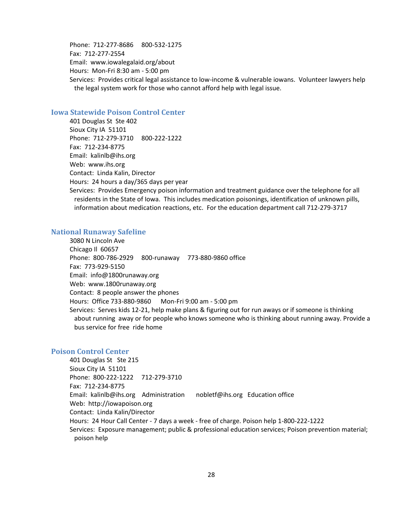Phone: 712-277-8686 800-532-1275 Fax: 712-277-2554 Email: www.iowalegalaid.org/about Hours: Mon-Fri 8:30 am - 5:00 pm Services: Provides critical legal assistance to low-income & vulnerable iowans. Volunteer lawyers help the legal system work for those who cannot afford help with legal issue.

#### <span id="page-27-0"></span>**Iowa Statewide Poison Control Center**

401 Douglas St Ste 402 Sioux City IA 51101 Phone: 712-279-3710 800-222-1222 Fax: 712-234-8775 Email: kalinlb@ihs.org Web: www.ihs.org Contact: Linda Kalin, Director Hours: 24 hours a day/365 days per year

Services: Provides Emergency poison information and treatment guidance over the telephone for all residents in the State of Iowa. This includes medication poisonings, identification of unknown pills, information about medication reactions, etc. For the education department call 712-279-3717

#### <span id="page-27-1"></span>**National Runaway Safeline**

3080 N Lincoln Ave Chicago Il 60657 Phone: 800-786-2929 800-runaway 773-880-9860 office Fax: 773-929-5150 Email: info@1800runaway.org Web: www.1800runaway.org Contact: 8 people answer the phones Hours: Office 733-880-9860 Mon-Fri 9:00 am - 5:00 pm Services: Serves kids 12-21, help make plans & figuring out for run aways or if someone is thinking about running away or for people who knows someone who is thinking about running away. Provide a bus service for free ride home

### <span id="page-27-2"></span>**Poison Control Center**

401 Douglas St Ste 215 Sioux City IA 51101 Phone: 800-222-1222 712-279-3710 Fax: 712-234-8775 Email: kalinlb@ihs.org Administration nobletf@ihs.org Education office Web: http://iowapoison.org Contact: Linda Kalin/Director Hours: 24 Hour Call Center - 7 days a week - free of charge. Poison help 1-800-222-1222 Services: Exposure management; public & professional education services; Poison prevention material; poison help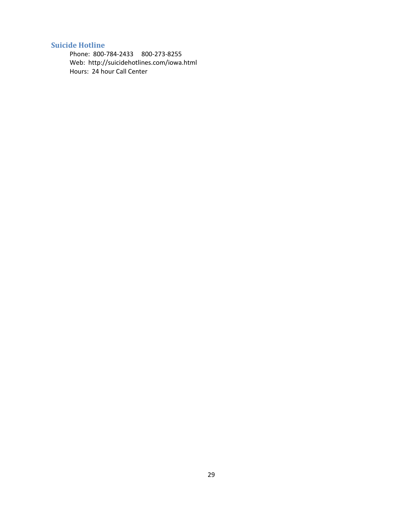### <span id="page-28-0"></span>**Suicide Hotline**

Phone: 800-784-2433 800-273-8255 Web: http://suicidehotlines.com/iowa.html Hours: 24 hour Call Center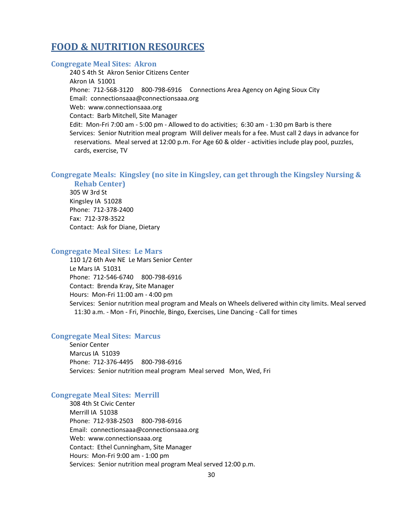## <span id="page-29-0"></span>**FOOD & NUTRITION RESOURCES**

### <span id="page-29-1"></span>**Congregate Meal Sites: Akron**

240 S 4th St Akron Senior Citizens Center Akron IA 51001 Phone: 712-568-3120 800-798-6916 Connections Area Agency on Aging Sioux City Email: connectionsaaa@connectionsaaa.org Web: www.connectionsaaa.org Contact: Barb Mitchell, Site Manager Edit: Mon-Fri 7:00 am - 5:00 pm - Allowed to do activities; 6:30 am - 1:30 pm Barb is there Services: Senior Nutrition meal program Will deliver meals for a fee. Must call 2 days in advance for reservations. Meal served at 12:00 p.m. For Age 60 & older - activities include play pool, puzzles, cards, exercise, TV

### <span id="page-29-2"></span>**Congregate Meals: Kingsley (no site in Kingsley, can get through the Kingsley Nursing & Rehab Center)**

305 W 3rd St Kingsley IA 51028 Phone: 712-378-2400 Fax: 712-378-3522 Contact: Ask for Diane, Dietary

### <span id="page-29-3"></span>**Congregate Meal Sites: Le Mars**

110 1/2 6th Ave NE Le Mars Senior Center Le Mars IA 51031 Phone: 712-546-6740 800-798-6916 Contact: Brenda Kray, Site Manager Hours: Mon-Fri 11:00 am - 4:00 pm Services: Senior nutrition meal program and Meals on Wheels delivered within city limits. Meal served 11:30 a.m. - Mon - Fri, Pinochle, Bingo, Exercises, Line Dancing - Call for times

#### <span id="page-29-4"></span>**Congregate Meal Sites: Marcus**

Senior Center Marcus IA 51039 Phone: 712-376-4495 800-798-6916 Services: Senior nutrition meal program Meal served Mon, Wed, Fri

#### <span id="page-29-5"></span>**Congregate Meal Sites: Merrill**

308 4th St Civic Center Merrill IA 51038 Phone: 712-938-2503 800-798-6916 Email: connectionsaaa@connectionsaaa.org Web: www.connectionsaaa.org Contact: Ethel Cunningham, Site Manager Hours: Mon-Fri 9:00 am - 1:00 pm Services: Senior nutrition meal program Meal served 12:00 p.m.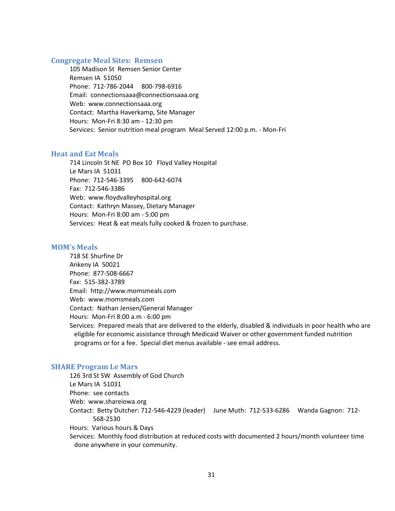### <span id="page-30-0"></span>**Congregate Meal Sites: Remsen**

105 Madison St Remsen Senior Center Remsen IA 51050 Phone: 712-786-2044 800-798-6916 Email: connectionsaaa@connectionsaaa.org Web: www.connectionsaaa.org Contact: Martha Haverkamp, Site Manager Hours: Mon-Fri 8:30 am - 12:30 pm Services: Senior nutrition meal program Meal Served 12:00 p.m. - Mon-Fri

#### <span id="page-30-1"></span>**Heat and Eat Meals**

714 Lincoln St NE PO Box 10 Floyd Valley Hospital Le Mars IA 51031 Phone: 712-546-3395 800-642-6074 Fax: 712-546-3386 Web: www.floydvalleyhospital.org Contact: Kathryn Massey, Dietary Manager Hours: Mon-Fri 8:00 am - 5:00 pm Services: Heat & eat meals fully cooked & frozen to purchase.

#### <span id="page-30-2"></span>**MOM's Meals**

718 SE Shurfine Dr Ankeny IA 50021 Phone: 877-508-6667 Fax: 515-382-3789 Email: http://www.momsmeals.com Web: www.momsmeals.com Contact: Nathan Jensen/General Manager Hours: Mon-Fri 8:00 a.m - 6:00 pm Services: Prepared meals that are delivered to the elderly, disabled & individuals in poor health who are eligible for economic assistance through Medicaid Waiver or other government funded nutrition programs or for a fee. Special diet menus available - see email address.

#### <span id="page-30-3"></span>**SHARE Program Le Mars**

126 3rd St SW Assembly of God Church Le Mars IA 51031 Phone: see contacts Web: www.shareiowa.org Contact: Betty Dutcher: 712-546-4229 (leader) June Muth: 712-533-6286 Wanda Gagnon: 712- 568-2530 Hours: Various hours & Days Services: Monthly food distribution at reduced costs with documented 2 hours/month volunteer time done anywhere in your community.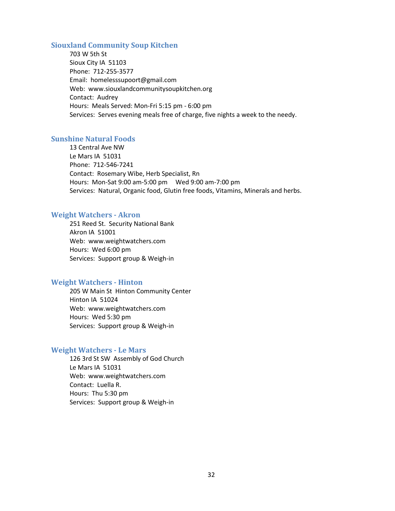### <span id="page-31-0"></span>**Siouxland Community Soup Kitchen**

703 W 5th St Sioux City IA 51103 Phone: 712-255-3577 Email: homelesssupoort@gmail.com Web: www.siouxlandcommunitysoupkitchen.org Contact: Audrey Hours: Meals Served: Mon-Fri 5:15 pm - 6:00 pm Services: Serves evening meals free of charge, five nights a week to the needy.

### <span id="page-31-1"></span>**Sunshine Natural Foods**

13 Central Ave NW Le Mars IA 51031 Phone: 712-546-7241 Contact: Rosemary Wibe, Herb Specialist, Rn Hours: Mon-Sat 9:00 am-5:00 pm Wed 9:00 am-7:00 pm Services: Natural, Organic food, Glutin free foods, Vitamins, Minerals and herbs.

#### <span id="page-31-2"></span>**Weight Watchers - Akron**

251 Reed St. Security National Bank Akron IA 51001 Web: www.weightwatchers.com Hours: Wed 6:00 pm Services: Support group & Weigh-in

#### <span id="page-31-3"></span>**Weight Watchers - Hinton**

205 W Main St Hinton Community Center Hinton IA 51024 Web: www.weightwatchers.com Hours: Wed 5:30 pm Services: Support group & Weigh-in

#### <span id="page-31-4"></span>**Weight Watchers - Le Mars**

126 3rd St SW Assembly of God Church Le Mars IA 51031 Web: www.weightwatchers.com Contact: Luella R. Hours: Thu 5:30 pm Services: Support group & Weigh-in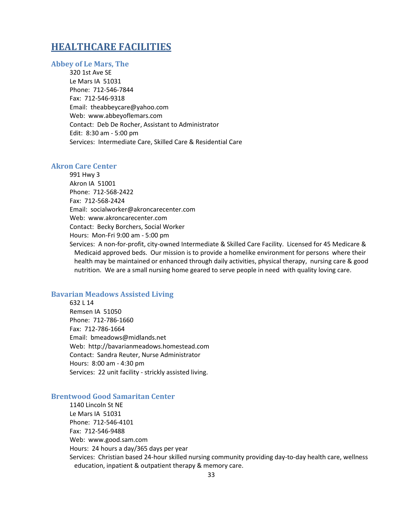## <span id="page-32-0"></span>**HEALTHCARE FACILITIES**

### <span id="page-32-1"></span>**Abbey of Le Mars, The**

320 1st Ave SE Le Mars IA 51031 Phone: 712-546-7844 Fax: 712-546-9318 Email: theabbeycare@yahoo.com Web: www.abbeyoflemars.com Contact: Deb De Rocher, Assistant to Administrator Edit: 8:30 am - 5:00 pm Services: Intermediate Care, Skilled Care & Residential Care

### <span id="page-32-2"></span>**Akron Care Center**

991 Hwy 3 Akron IA 51001 Phone: 712-568-2422 Fax: 712-568-2424 Email: socialworker@akroncarecenter.com Web: www.akroncarecenter.com Contact: Becky Borchers, Social Worker Hours: Mon-Fri 9:00 am - 5:00 pm Services: A non-for-profit, city-owned Intermediate & Skilled Care Facility. Licensed for 45 Medicare & Medicaid approved beds. Our mission is to provide a homelike environment for persons where their health may be maintained or enhanced through daily activities, physical therapy, nursing care & good

### <span id="page-32-3"></span>**Bavarian Meadows Assisted Living**

632 L 14 Remsen IA 51050 Phone: 712-786-1660 Fax: 712-786-1664 Email: bmeadows@midlands.net Web: http://bavarianmeadows.homestead.com Contact: Sandra Reuter, Nurse Administrator Hours: 8:00 am - 4:30 pm Services: 22 unit facility - strickly assisted living.

### <span id="page-32-4"></span>**Brentwood Good Samaritan Center**

1140 Lincoln St NE Le Mars IA 51031 Phone: 712-546-4101 Fax: 712-546-9488 Web: www.good.sam.com Hours: 24 hours a day/365 days per year Services: Christian based 24-hour skilled nursing community providing day-to-day health care, wellness education, inpatient & outpatient therapy & memory care.

nutrition. We are a small nursing home geared to serve people in need with quality loving care.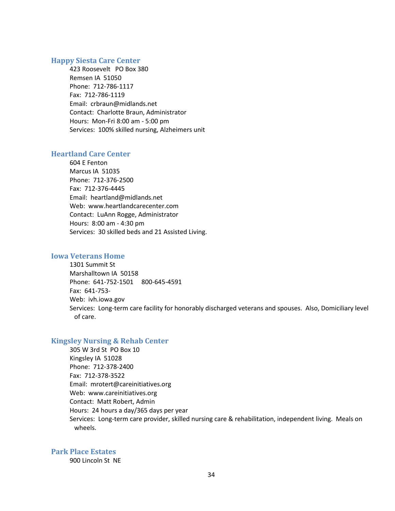### <span id="page-33-0"></span>**Happy Siesta Care Center**

423 Roosevelt PO Box 380 Remsen IA 51050 Phone: 712-786-1117 Fax: 712-786-1119 Email: crbraun@midlands.net Contact: Charlotte Braun, Administrator Hours: Mon-Fri 8:00 am - 5:00 pm Services: 100% skilled nursing, Alzheimers unit

### <span id="page-33-1"></span>**Heartland Care Center**

604 E Fenton Marcus IA 51035 Phone: 712-376-2500 Fax: 712-376-4445 Email: heartland@midlands.net Web: www.heartlandcarecenter.com Contact: LuAnn Rogge, Administrator Hours: 8:00 am - 4:30 pm Services: 30 skilled beds and 21 Assisted Living.

### <span id="page-33-2"></span>**Iowa Veterans Home**

1301 Summit St Marshalltown IA 50158 Phone: 641-752-1501 800-645-4591 Fax: 641-753- Web: ivh.iowa.gov Services: Long-term care facility for honorably discharged veterans and spouses. Also, Domiciliary level of care.

### <span id="page-33-3"></span>**Kingsley Nursing & Rehab Center**

305 W 3rd St PO Box 10 Kingsley IA 51028 Phone: 712-378-2400 Fax: 712-378-3522 Email: mrotert@careinitiatives.org Web: www.careinitiatives.org Contact: Matt Robert, Admin Hours: 24 hours a day/365 days per year Services: Long-term care provider, skilled nursing care & rehabilitation, independent living. Meals on wheels.

#### <span id="page-33-4"></span>**Park Place Estates**

900 Lincoln St NE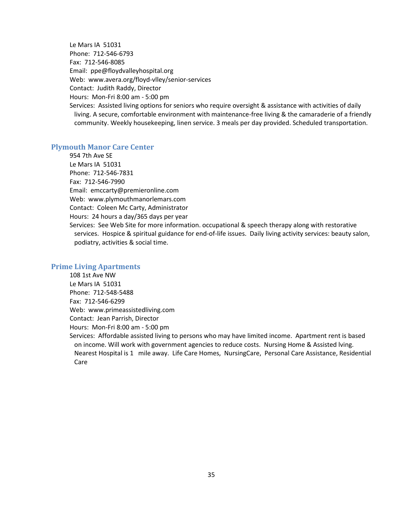Le Mars IA 51031 Phone: 712-546-6793 Fax: 712-546-8085 Email: ppe@floydvalleyhospital.org Web: www.avera.org/floyd-vlley/senior-services Contact: Judith Raddy, Director Hours: Mon-Fri 8:00 am - 5:00 pm

Services: Assisted living options for seniors who require oversight & assistance with activities of daily living. A secure, comfortable environment with maintenance-free living & the camaraderie of a friendly community. Weekly housekeeping, linen service. 3 meals per day provided. Scheduled transportation.

### <span id="page-34-0"></span>**Plymouth Manor Care Center**

954 7th Ave SE Le Mars IA 51031 Phone: 712-546-7831 Fax: 712-546-7990 Email: emccarty@premieronline.com Web: www.plymouthmanorlemars.com Contact: Coleen Mc Carty, Administrator Hours: 24 hours a day/365 days per year

Services: See Web Site for more information. occupational & speech therapy along with restorative services. Hospice & spiritual guidance for end-of-life issues. Daily living activity services: beauty salon, podiatry, activities & social time.

### <span id="page-34-1"></span>**Prime Living Apartments**

108 1st Ave NW Le Mars IA 51031 Phone: 712-548-5488 Fax: 712-546-6299 Web: www.primeassistedliving.com Contact: Jean Parrish, Director Hours: Mon-Fri 8:00 am - 5:00 pm

Services: Affordable assisted living to persons who may have limited income. Apartment rent is based on income. Will work with government agencies to reduce costs. Nursing Home & Assisted lving. Nearest Hospital is 1 mile away. Life Care Homes, NursingCare, Personal Care Assistance, Residential Care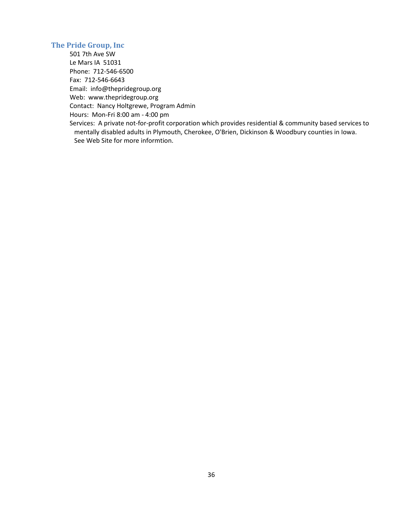### <span id="page-35-0"></span>**The Pride Group, Inc**

501 7th Ave SW Le Mars IA 51031 Phone: 712-546-6500 Fax: 712-546-6643 Email: info@thepridegroup.org Web: www.thepridegroup.org Contact: Nancy Holtgrewe, Program Admin Hours: Mon-Fri 8:00 am - 4:00 pm Services: A private not-for-profit corporation which provides residential & community based services to mentally disabled adults in Plymouth, Cherokee, O'Brien, Dickinson & Woodbury counties in Iowa. See Web Site for more informtion.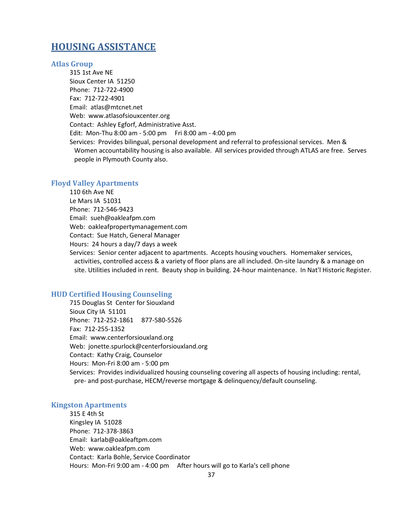## **HOUSING ASSISTANCE**

#### **Atlas Group**

315 1st Ave NE Sioux Center IA 51250 Phone: 712-722-4900 Fax: 712-722-4901 Email: atlas@mtcnet.net Web: www.atlasofsiouxcenter.org Contact: Ashley Egforf, Administrative Asst. Edit: Mon-Thu 8:00 am - 5:00 pm Fri 8:00 am - 4:00 pm Services: Provides bilingual, personal development and referral to professional services. Men & Women accountability housing is also available. All services provided through ATLAS are free. Serves people in Plymouth County also.

#### **Floyd Valley Apartments**

110 6th Ave NE Le Mars IA 51031 Phone: 712-546-9423 Email: sueh@oakleafpm.com Web: oakleafpropertymanagement.com Contact: Sue Hatch, General Manager Hours: 24 hours a day/7 days a week Services: Senior center adjacent to apartments. Accepts housing vouchers. Homemaker services, activities, controlled access & a variety of floor plans are all included. On-site laundry & a manage on site. Utilities included in rent. Beauty shop in building. 24-hour maintenance. In Nat'l Historic Register.

### **HUD Certified Housing Counseling**

715 Douglas St Center for Siouxland Sioux City IA 51101 Phone: 712-252-1861 877-580-5526 Fax: 712-255-1352 Email: www.centerforsiouxland.org Web: jonette.spurlock@centerforsiouxland.org Contact: Kathy Craig, Counselor Hours: Mon-Fri 8:00 am - 5:00 pm Services: Provides individualized housing counseling covering all aspects of housing including: rental, pre- and post-purchase, HECM/reverse mortgage & delinquency/default counseling.

#### **Kingston Apartments**

315 E 4th St Kingsley IA 51028 Phone: 712-378-3863 Email: karlab@oakleaftpm.com Web: www.oakleafpm.com Contact: Karla Bohle, Service Coordinator Hours: Mon-Fri 9:00 am - 4:00 pm After hours will go to Karla's cell phone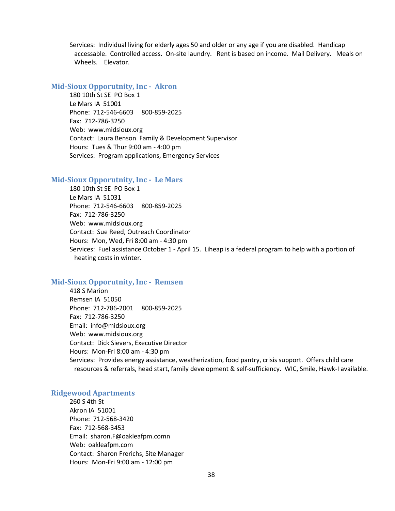Services: Individual living for elderly ages 50 and older or any age if you are disabled. Handicap accessable. Controlled access. On-site laundry. Rent is based on income. Mail Delivery. Meals on Wheels. Elevator.

#### **Mid-Sioux Opporutnity, Inc - Akron**

180 10th St SE PO Box 1 Le Mars IA 51001 Phone: 712-546-6603 800-859-2025 Fax: 712-786-3250 Web: www.midsioux.org Contact: Laura Benson Family & Development Supervisor Hours: Tues & Thur 9:00 am - 4:00 pm Services: Program applications, Emergency Services

#### **Mid-Sioux Opporutnity, Inc - Le Mars**

180 10th St SE PO Box 1 Le Mars IA 51031 Phone: 712-546-6603 800-859-2025 Fax: 712-786-3250 Web: www.midsioux.org Contact: Sue Reed, Outreach Coordinator Hours: Mon, Wed, Fri 8:00 am - 4:30 pm Services: Fuel assistance October 1 - April 15. Liheap is a federal program to help with a portion of heating costs in winter.

### **Mid-Sioux Opporutnity, Inc - Remsen**

418 S Marion Remsen IA 51050 Phone: 712-786-2001 800-859-2025 Fax: 712-786-3250 Email: info@midsioux.org Web: www.midsioux.org Contact: Dick Sievers, Executive Director Hours: Mon-Fri 8:00 am - 4:30 pm Services: Provides energy assistance, weatherization, food pantry, crisis support. Offers child care resources & referrals, head start, family development & self-sufficiency. WIC, Smile, Hawk-I available.

#### **Ridgewood Apartments**

260 S 4th St Akron IA 51001 Phone: 712-568-3420 Fax: 712-568-3453 Email: sharon.F@oakleafpm.comn Web: oakleafpm.com Contact: Sharon Frerichs, Site Manager Hours: Mon-Fri 9:00 am - 12:00 pm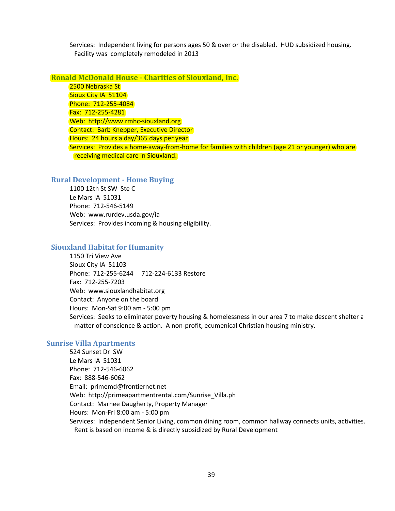Services: Independent living for persons ages 50 & over or the disabled. HUD subsidized housing. Facility was completely remodeled in 2013

## **Ronald McDonald House - Charities of Siouxland, Inc.**

2500 Nebraska St Sioux City IA 51104 Phone: 712-255-4084 Fax: 712-255-4281 Web: http://www.rmhc-siouxland.org Contact: Barb Knepper, Executive Director Hours: 24 hours a day/365 days per year Services: Provides a home-away-from-home for families with children (age 21 or younger) who are receiving medical care in Siouxland.

## **Rural Development - Home Buying**

1100 12th St SW Ste C Le Mars IA 51031 Phone: 712-546-5149 Web: www.rurdev.usda.gov/ia Services: Provides incoming & housing eligibility.

## **Siouxland Habitat for Humanity**

1150 Tri View Ave Sioux City IA 51103 Phone: 712-255-6244 712-224-6133 Restore Fax: 712-255-7203 Web: www.siouxlandhabitat.org Contact: Anyone on the board Hours: Mon-Sat 9:00 am - 5:00 pm Services: Seeks to eliminater poverty housing & homelessness in our area 7 to make descent shelter a matter of conscience & action. A non-profit, ecumenical Christian housing ministry.

## **Sunrise Villa Apartments**

524 Sunset Dr SW Le Mars IA 51031 Phone: 712-546-6062 Fax: 888-546-6062 Email: primemd@frontiernet.net Web: http://primeapartmentrental.com/Sunrise\_Villa.ph Contact: Marnee Daugherty, Property Manager Hours: Mon-Fri 8:00 am - 5:00 pm Services: Independent Senior Living, common dining room, common hallway connects units, activities. Rent is based on income & is directly subsidized by Rural Development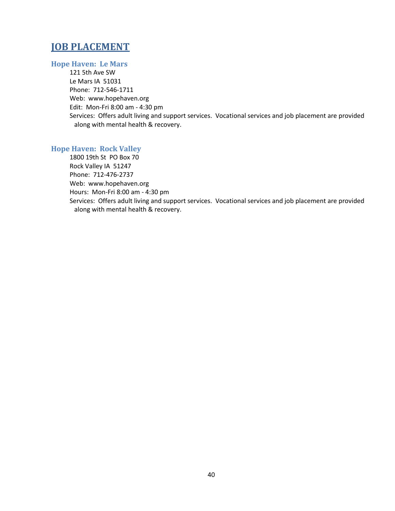## **JOB PLACEMENT**

## **Hope Haven: Le Mars**

121 5th Ave SW Le Mars IA 51031 Phone: 712-546-1711 Web: www.hopehaven.org Edit: Mon-Fri 8:00 am - 4:30 pm Services: Offers adult living and support services. Vocational services and job placement are provided along with mental health & recovery.

## **Hope Haven: Rock Valley**

1800 19th St PO Box 70 Rock Valley IA 51247 Phone: 712-476-2737 Web: www.hopehaven.org Hours: Mon-Fri 8:00 am - 4:30 pm Services: Offers adult living and support services. Vocational services and job placement are provided along with mental health & recovery.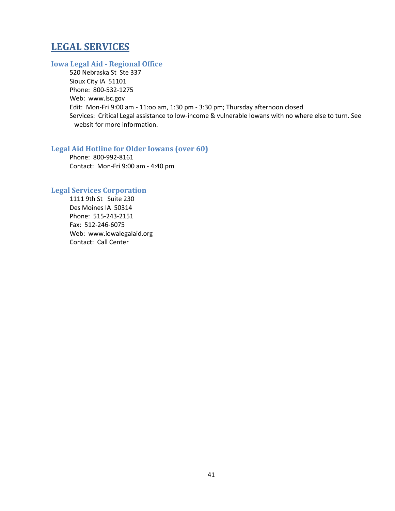## **LEGAL SERVICES**

## **Iowa Legal Aid - Regional Office**

520 Nebraska St Ste 337 Sioux City IA 51101 Phone: 800-532-1275 Web: www.lsc.gov Edit: Mon-Fri 9:00 am - 11:oo am, 1:30 pm - 3:30 pm; Thursday afternoon closed Services: Critical Legal assistance to low-income & vulnerable Iowans with no where else to turn. See websit for more information.

## **Legal Aid Hotline for Older Iowans (over 60)**

Phone: 800-992-8161 Contact: Mon-Fri 9:00 am - 4:40 pm

## **Legal Services Corporation**

1111 9th St Suite 230 Des Moines IA 50314 Phone: 515-243-2151 Fax: 512-246-6075 Web: www.iowalegalaid.org Contact: Call Center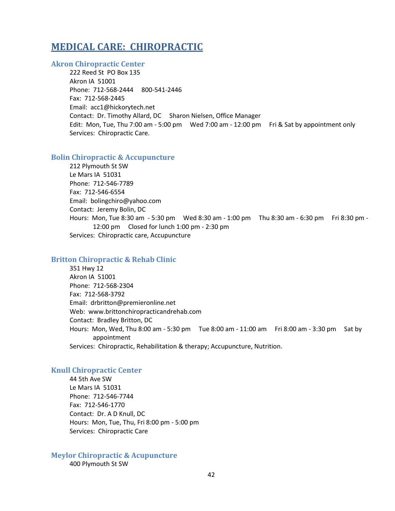## **MEDICAL CARE: CHIROPRACTIC**

## **Akron Chiropractic Center**

222 Reed St PO Box 135 Akron IA 51001 Phone: 712-568-2444 800-541-2446 Fax: 712-568-2445 Email: acc1@hickorytech.net Contact: Dr. Timothy Allard, DC Sharon Nielsen, Office Manager Edit: Mon, Tue, Thu 7:00 am - 5:00 pm Wed 7:00 am - 12:00 pm Fri & Sat by appointment only Services: Chiropractic Care.

### **Bolin Chiropractic & Accupuncture**

212 Plymouth St SW Le Mars IA 51031 Phone: 712-546-7789 Fax: 712-546-6554 Email: bolingchiro@yahoo.com Contact: Jeremy Bolin, DC Hours: Mon, Tue 8:30 am - 5:30 pm Wed 8:30 am - 1:00 pm Thu 8:30 am - 6:30 pm Fri 8:30 pm - 12:00 pm Closed for lunch 1:00 pm - 2:30 pm Services: Chiropractic care, Accupuncture

### **Britton Chiropractic & Rehab Clinic**

351 Hwy 12 Akron IA 51001 Phone: 712-568-2304 Fax: 712-568-3792 Email: drbritton@premieronline.net Web: www.brittonchiropracticandrehab.com Contact: Bradley Britton, DC Hours: Mon, Wed, Thu 8:00 am - 5:30 pm Tue 8:00 am - 11:00 am Fri 8:00 am - 3:30 pm Sat by appointment Services: Chiropractic, Rehabilitation & therapy; Accupuncture, Nutrition.

### **Knull Chiropractic Center**

44 5th Ave SW Le Mars IA 51031 Phone: 712-546-7744 Fax: 712-546-1770 Contact: Dr. A D Knull, DC Hours: Mon, Tue, Thu, Fri 8:00 pm - 5:00 pm Services: Chiropractic Care

## **Meylor Chiropractic & Acupuncture**

400 Plymouth St SW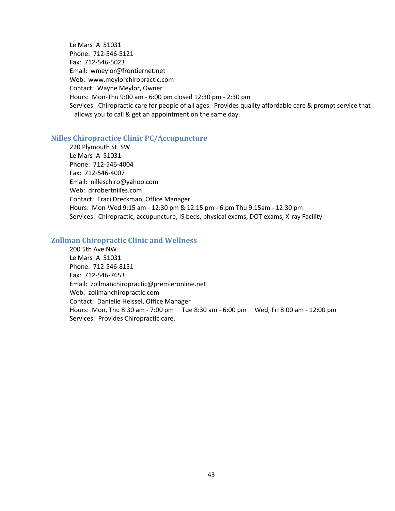Le Mars IA 51031 Phone: 712-546-5121 Fax: 712-546-5023 Email: wmeylor@frontiernet.net Web: www.meylorchiropractic.com Contact: Wayne Meylor, Owner Hours: Mon-Thu 9:00 am - 6:00 pm closed 12:30 pm - 2:30 pm Services: Chiropractic care for people of all ages. Provides quality affordable care & prompt service that allows you to call & get an appointment on the same day.

#### **Nilles Chiropractice Clinic PC/Accupuncture**

220 Plymouth St. SW Le Mars IA 51031 Phone: 712-546-4004 Fax: 712-546-4007 Email: nilleschiro@yahoo.com Web: drrobertnilles.com Contact: Traci Dreckman, Office Manager Hours: Mon-Wed 9:15 am - 12:30 pm & 12:15 pm - 6:pm Thu 9:15am - 12:30 pm Services: Chiropractic, accupuncture, IS beds, physical exams, DOT exams, X-ray Facility

#### **Zollman Chiropractic Clinic and Wellness**

200 5th Ave NW Le Mars IA 51031 Phone: 712-546-8151 Fax: 712-546-7653 Email: zollmanchiropractic@premieronline.net Web: zollmanchiropractic.com Contact: Danielle Heissel, Office Manager Hours: Mon, Thu 8:30 am - 7:00 pm Tue 8:30 am - 6:00 pm Wed, Fri 8:00 am - 12:00 pm Services: Provides Chiropractic care.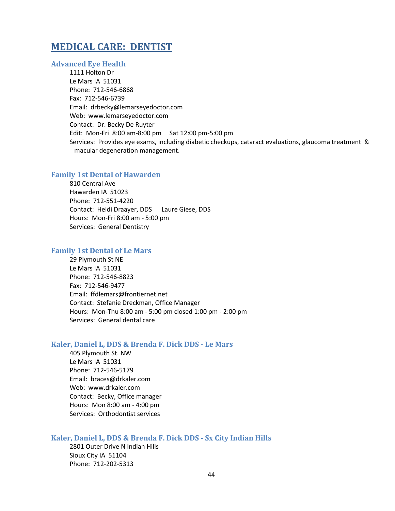## **MEDICAL CARE: DENTIST**

### **Advanced Eye Health**

1111 Holton Dr Le Mars IA 51031 Phone: 712-546-6868 Fax: 712-546-6739 Email: drbecky@lemarseyedoctor.com Web: www.lemarseyedoctor.com Contact: Dr. Becky De Ruyter Edit: Mon-Fri 8:00 am-8:00 pm Sat 12:00 pm-5:00 pm Services: Provides eye exams, including diabetic checkups, cataract evaluations, glaucoma treatment & macular degeneration management.

### **Family 1st Dental of Hawarden**

810 Central Ave Hawarden IA 51023 Phone: 712-551-4220 Contact: Heidi Draayer, DDS Laure Giese, DDS Hours: Mon-Fri 8:00 am - 5:00 pm Services: General Dentistry

#### **Family 1st Dental of Le Mars**

29 Plymouth St NE Le Mars IA 51031 Phone: 712-546-8823 Fax: 712-546-9477 Email: ffdlemars@frontiernet.net Contact: Stefanie Dreckman, Office Manager Hours: Mon-Thu 8:00 am - 5:00 pm closed 1:00 pm - 2:00 pm Services: General dental care

#### **Kaler, Daniel L, DDS & Brenda F. Dick DDS - Le Mars**

405 Plymouth St. NW Le Mars IA 51031 Phone: 712-546-5179 Email: braces@drkaler.com Web: www.drkaler.com Contact: Becky, Office manager Hours: Mon 8:00 am - 4:00 pm Services: Orthodontist services

## **Kaler, Daniel L, DDS & Brenda F. Dick DDS - Sx City Indian Hills**

2801 Outer Drive N Indian Hills Sioux City IA 51104 Phone: 712-202-5313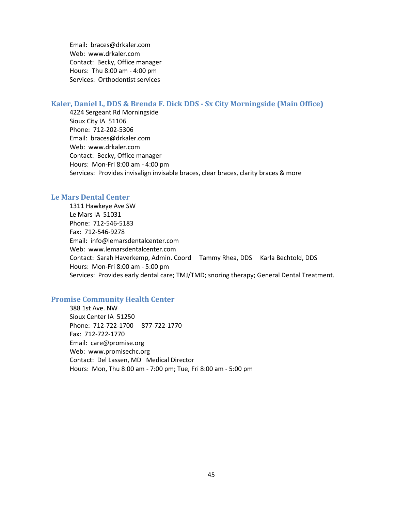Email: braces@drkaler.com Web: www.drkaler.com Contact: Becky, Office manager Hours: Thu 8:00 am - 4:00 pm Services: Orthodontist services

#### **Kaler, Daniel L, DDS & Brenda F. Dick DDS - Sx City Morningside (Main Office)**

4224 Sergeant Rd Morningside Sioux City IA 51106 Phone: 712-202-5306 Email: braces@drkaler.com Web: www.drkaler.com Contact: Becky, Office manager Hours: Mon-Fri 8:00 am - 4:00 pm Services: Provides invisalign invisable braces, clear braces, clarity braces & more

#### **Le Mars Dental Center**

1311 Hawkeye Ave SW Le Mars IA 51031 Phone: 712-546-5183 Fax: 712-546-9278 Email: info@lemarsdentalcenter.com Web: www.lemarsdentalcenter.com Contact: Sarah Haverkemp, Admin. Coord Tammy Rhea, DDS Karla Bechtold, DDS Hours: Mon-Fri 8:00 am - 5:00 pm Services: Provides early dental care; TMJ/TMD; snoring therapy; General Dental Treatment.

### **Promise Community Health Center**

388 1st Ave. NW Sioux Center IA 51250 Phone: 712-722-1700 877-722-1770 Fax: 712-722-1770 Email: care@promise.org Web: www.promisechc.org Contact: Del Lassen, MD Medical Director Hours: Mon, Thu 8:00 am - 7:00 pm; Tue, Fri 8:00 am - 5:00 pm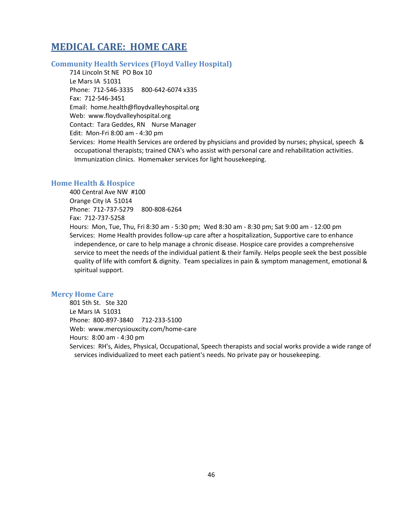## **MEDICAL CARE: HOME CARE**

### **Community Health Services (Floyd Valley Hospital)**

714 Lincoln St NE PO Box 10 Le Mars IA 51031 Phone: 712-546-3335 800-642-6074 x335 Fax: 712-546-3451 Email: home.health@floydvalleyhospital.org Web: www.floydvalleyhospital.org Contact: Tara Geddes, RN Nurse Manager Edit: Mon-Fri 8:00 am - 4:30 pm Services: Home Health Services are ordered by physicians and provided by nurses; physical, speech & occupational therapists; trained CNA's who assist with personal care and rehabilitation activities. Immunization clinics. Homemaker services for light housekeeping.

### **Home Health & Hospice**

400 Central Ave NW #100 Orange City IA 51014 Phone: 712-737-5279 800-808-6264 Fax: 712-737-5258

Hours: Mon, Tue, Thu, Fri 8:30 am - 5:30 pm; Wed 8:30 am - 8:30 pm; Sat 9:00 am - 12:00 pm Services: Home Health provides follow-up care after a hospitalization, Supportive care to enhance independence, or care to help manage a chronic disease. Hospice care provides a comprehensive service to meet the needs of the individual patient & their family. Helps people seek the best possible quality of life with comfort & dignity. Team specializes in pain & symptom management, emotional & spiritual support.

## **Mercy Home Care**

801 5th St. Ste 320 Le Mars IA 51031 Phone: 800-897-3840 712-233-5100 Web: www.mercysiouxcity.com/home-care Hours: 8:00 am - 4:30 pm Services: RH's, Aides, Physical, Occupational, Speech therapists and social works provide a wide range of services individualized to meet each patient's needs. No private pay or housekeeping.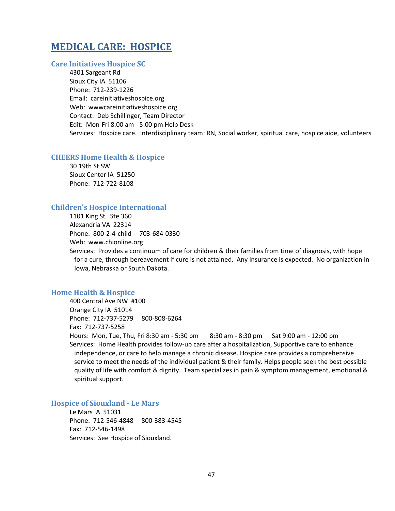## **MEDICAL CARE: HOSPICE**

#### **Care Initiatives Hospice SC**

4301 Sargeant Rd Sioux City IA 51106 Phone: 712-239-1226 Email: careinitiativeshospice.org Web: wwwcareinitiativeshospice.org Contact: Deb Schillinger, Team Director Edit: Mon-Fri 8:00 am - 5:00 pm Help Desk Services: Hospice care. Interdisciplinary team: RN, Social worker, spiritual care, hospice aide, volunteers

#### **CHEERS Home Health & Hospice**

30 19th St SW Sioux Center IA 51250 Phone: 712-722-8108

#### **Children's Hospice International**

1101 King St Ste 360 Alexandria VA 22314 Phone: 800-2-4-child 703-684-0330 Web: www.chionline.org

Services: Provides a continuum of care for children & their families from time of diagnosis, with hope for a cure, through bereavement if cure is not attained. Any insurance is expected. No organization in Iowa, Nebraska or South Dakota.

#### **Home Health & Hospice**

400 Central Ave NW #100 Orange City IA 51014 Phone: 712-737-5279 800-808-6264 Fax: 712-737-5258 Hours: Mon, Tue, Thu, Fri 8:30 am - 5:30 pm 8:30 am - 8:30 pm Sat 9:00 am - 12:00 pm

Services: Home Health provides follow-up care after a hospitalization, Supportive care to enhance independence, or care to help manage a chronic disease. Hospice care provides a comprehensive service to meet the needs of the individual patient & their family. Helps people seek the best possible quality of life with comfort & dignity. Team specializes in pain & symptom management, emotional & spiritual support.

#### **Hospice of Siouxland - Le Mars**

Le Mars IA 51031 Phone: 712-546-4848 800-383-4545 Fax: 712-546-1498 Services: See Hospice of Siouxland.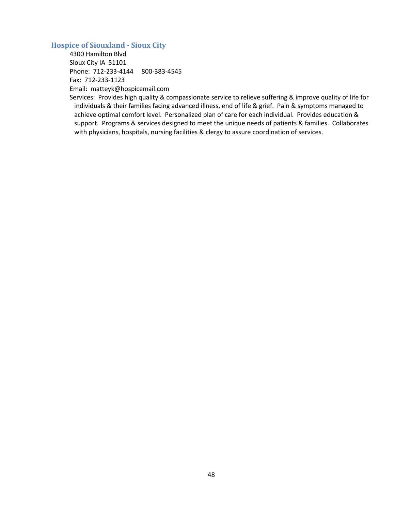## **Hospice of Siouxland - Sioux City**

4300 Hamilton Blvd Sioux City IA 51101 Phone: 712-233-4144 800-383-4545 Fax: 712-233-1123 Email: matteyk@hospicemail.com

Services: Provides high quality & compassionate service to relieve suffering & improve quality of life for individuals & their families facing advanced illness, end of life & grief. Pain & symptoms managed to achieve optimal comfort level. Personalized plan of care for each individual. Provides education & support. Programs & services designed to meet the unique needs of patients & families. Collaborates with physicians, hospitals, nursing facilities & clergy to assure coordination of services.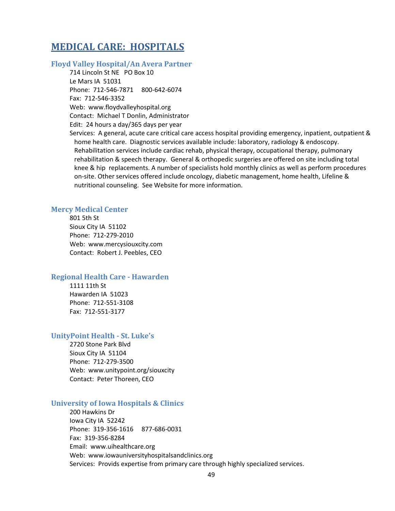## **MEDICAL CARE: HOSPITALS**

### **Floyd Valley Hospital/An Avera Partner**

714 Lincoln St NE PO Box 10 Le Mars IA 51031 Phone: 712-546-7871 800-642-6074 Fax: 712-546-3352 Web: www.floydvalleyhospital.org Contact: Michael T Donlin, Administrator Edit: 24 hours a day/365 days per year

Services: A general, acute care critical care access hospital providing emergency, inpatient, outpatient & home health care. Diagnostic services available include: laboratory, radiology & endoscopy. Rehabilitation services include cardiac rehab, physical therapy, occupational therapy, pulmonary rehabilitation & speech therapy. General & orthopedic surgeries are offered on site including total knee & hip replacements. A number of specialists hold monthly clinics as well as perform procedures on-site. Other services offered include oncology, diabetic management, home health, Lifeline & nutritional counseling. See Website for more information.

### **Mercy Medical Center**

801 5th St Sioux City IA 51102 Phone: 712-279-2010 Web: www.mercysiouxcity.com Contact: Robert J. Peebles, CEO

#### **Regional Health Care - Hawarden**

1111 11th St Hawarden IA 51023 Phone: 712-551-3108 Fax: 712-551-3177

#### **UnityPoint Health - St. Luke's**

2720 Stone Park Blvd Sioux City IA 51104 Phone: 712-279-3500 Web: www.unitypoint.org/siouxcity Contact: Peter Thoreen, CEO

#### **University of Iowa Hospitals & Clinics**

200 Hawkins Dr Iowa City IA 52242 Phone: 319-356-1616 877-686-0031 Fax: 319-356-8284 Email: www.uihealthcare.org Web: www.iowauniversityhospitalsandclinics.org Services: Provids expertise from primary care through highly specialized services.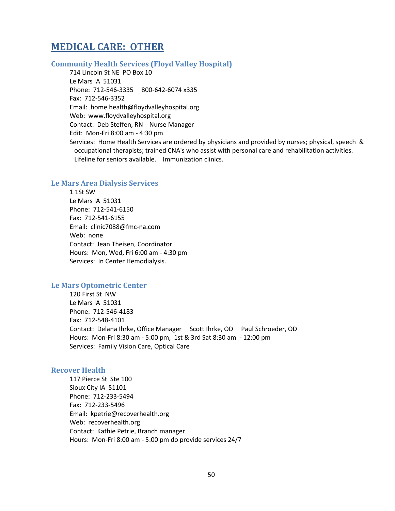## **MEDICAL CARE: OTHER**

## **Community Health Services (Floyd Valley Hospital)**

714 Lincoln St NE PO Box 10 Le Mars IA 51031 Phone: 712-546-3335 800-642-6074 x335 Fax: 712-546-3352 Email: home.health@floydvalleyhospital.org Web: www.floydvalleyhospital.org Contact: Deb Steffen, RN Nurse Manager Edit: Mon-Fri 8:00 am - 4:30 pm Services: Home Health Services are ordered by physicians and provided by nurses; physical, speech & occupational therapists; trained CNA's who assist with personal care and rehabilitation activities. Lifeline for seniors available. Immunization clinics.

## **Le Mars Area Dialysis Services**

1 1St SW Le Mars IA 51031 Phone: 712-541-6150 Fax: 712-541-6155 Email: clinic7088@fmc-na.com Web: none Contact: Jean Theisen, Coordinator Hours: Mon, Wed, Fri 6:00 am - 4:30 pm Services: In Center Hemodialysis.

#### **Le Mars Optometric Center**

120 First St NW Le Mars IA 51031 Phone: 712-546-4183 Fax: 712-548-4101 Contact: Delana Ihrke, Office Manager Scott Ihrke, OD Paul Schroeder, OD Hours: Mon-Fri 8:30 am - 5:00 pm, 1st & 3rd Sat 8:30 am - 12:00 pm Services: Family Vision Care, Optical Care

### **Recover Health**

117 Pierce St Ste 100 Sioux City IA 51101 Phone: 712-233-5494 Fax: 712-233-5496 Email: kpetrie@recoverhealth.org Web: recoverhealth.org Contact: Kathie Petrie, Branch manager Hours: Mon-Fri 8:00 am - 5:00 pm do provide services 24/7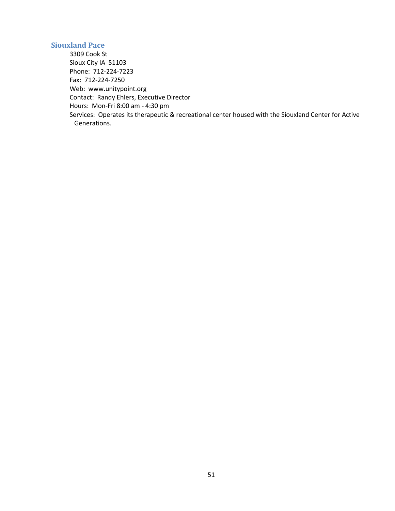## **Siouxland Pace**

3309 Cook St Sioux City IA 51103 Phone: 712-224-7223 Fax: 712-224-7250 Web: www.unitypoint.org Contact: Randy Ehlers, Executive Director Hours: Mon-Fri 8:00 am - 4:30 pm Services: Operates its therapeutic & recreational center housed with the Siouxland Center for Active Generations.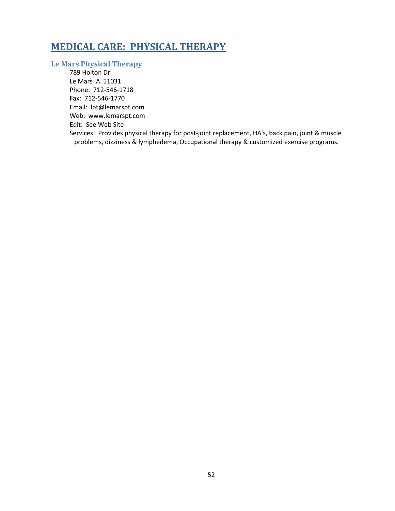## **MEDICAL CARE: PHYSICAL THERAPY**

## **Le Mars Physical Therapy**

789 Holton Dr Le Mars IA 51031 Phone: 712-546-1718 Fax: 712-546-1770 Email: lpt@lemarspt.com Web: www.lemarspt.com Edit: See Web Site Services: Provides physical therapy for post-joint replacement, HA's, back pain, joint & muscle problems, dizziness & lymphedema, Occupational therapy & customized exercise programs.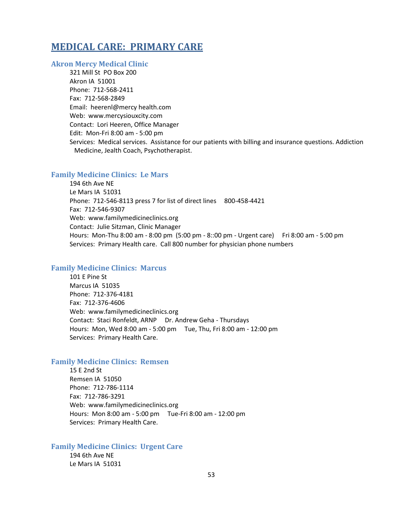## **MEDICAL CARE: PRIMARY CARE**

### **Akron Mercy Medical Clinic**

321 Mill St PO Box 200 Akron IA 51001 Phone: 712-568-2411 Fax: 712-568-2849 Email: heerenl@mercy health.com Web: www.mercysiouxcity.com Contact: Lori Heeren, Office Manager Edit: Mon-Fri 8:00 am - 5:00 pm Services: Medical services. Assistance for our patients with billing and insurance questions. Addiction Medicine, Jealth Coach, Psychotherapist.

### **Family Medicine Clinics: Le Mars**

194 6th Ave NE Le Mars IA 51031 Phone: 712-546-8113 press 7 for list of direct lines 800-458-4421 Fax: 712-546-9307 Web: www.familymedicineclinics.org Contact: Julie Sitzman, Clinic Manager Hours: Mon-Thu 8:00 am - 8:00 pm (5:00 pm - 8::00 pm - Urgent care) Fri 8:00 am - 5:00 pm Services: Primary Health care. Call 800 number for physician phone numbers

### **Family Medicine Clinics: Marcus**

101 E Pine St Marcus IA 51035 Phone: 712-376-4181 Fax: 712-376-4606 Web: www.familymedicineclinics.org Contact: Staci Ronfeldt, ARNP Dr. Andrew Geha - Thursdays Hours: Mon, Wed 8:00 am - 5:00 pm Tue, Thu, Fri 8:00 am - 12:00 pm Services: Primary Health Care.

### **Family Medicine Clinics: Remsen**

15 E 2nd St Remsen IA 51050 Phone: 712-786-1114 Fax: 712-786-3291 Web: www.familymedicineclinics.org Hours: Mon 8:00 am - 5:00 pm Tue-Fri 8:00 am - 12:00 pm Services: Primary Health Care.

## **Family Medicine Clinics: Urgent Care**

194 6th Ave NE Le Mars IA 51031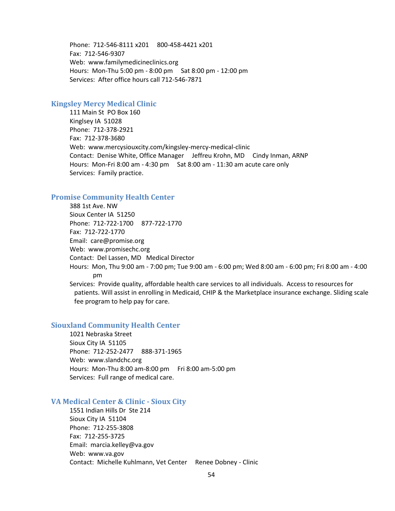Phone: 712-546-8111 x201 800-458-4421 x201 Fax: 712-546-9307 Web: www.familymedicineclinics.org Hours: Mon-Thu 5:00 pm - 8:00 pm Sat 8:00 pm - 12:00 pm Services: After office hours call 712-546-7871

## **Kingsley Mercy Medical Clinic**

111 Main St PO Box 160 Kinglsey IA 51028 Phone: 712-378-2921 Fax: 712-378-3680 Web: www.mercysiouxcity.com/kingsley-mercy-medical-clinic Contact: Denise White, Office Manager Jeffreu Krohn, MD Cindy Inman, ARNP Hours: Mon-Fri 8:00 am - 4:30 pm Sat 8:00 am - 11:30 am acute care only Services: Family practice.

#### **Promise Community Health Center**

388 1st Ave. NW Sioux Center IA 51250 Phone: 712-722-1700 877-722-1770 Fax: 712-722-1770 Email: care@promise.org Web: www.promisechc.org Contact: Del Lassen, MD Medical Director Hours: Mon, Thu 9:00 am - 7:00 pm; Tue 9:00 am - 6:00 pm; Wed 8:00 am - 6:00 pm; Fri 8:00 am - 4:00 pm Services: Provide quality, affordable health care services to all individuals. Access to resources for patients. Will assist in enrolling in Medicaid, CHIP & the Marketplace insurance exchange. Sliding scale

fee program to help pay for care.

#### **Siouxland Community Health Center**

1021 Nebraska Street Sioux City IA 51105 Phone: 712-252-2477 888-371-1965 Web: www.slandchc.org Hours: Mon-Thu 8:00 am-8:00 pm Fri 8:00 am-5:00 pm Services: Full range of medical care.

## **VA Medical Center & Clinic - Sioux City**

1551 Indian Hills Dr Ste 214 Sioux City IA 51104 Phone: 712-255-3808 Fax: 712-255-3725 Email: marcia.kelley@va.gov Web: www.va.gov Contact: Michelle Kuhlmann, Vet Center Renee Dobney - Clinic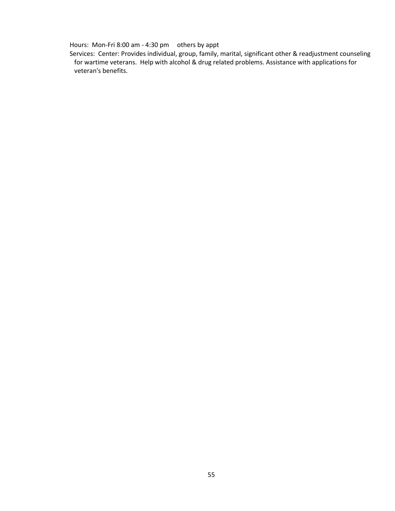Hours: Mon-Fri 8:00 am - 4:30 pm others by appt

Services: Center: Provides individual, group, family, marital, significant other & readjustment counseling for wartime veterans. Help with alcohol & drug related problems. Assistance with applications for veteran's benefits.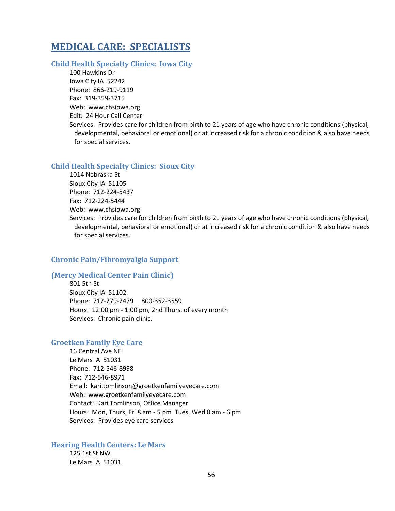## **MEDICAL CARE: SPECIALISTS**

## **Child Health Specialty Clinics: Iowa City**

100 Hawkins Dr Iowa City IA 52242 Phone: 866-219-9119 Fax: 319-359-3715 Web: www.chsiowa.org Edit: 24 Hour Call Center Services: Provides care for children from birth to 21 years of age who have chronic conditions (physical, developmental, behavioral or emotional) or at increased risk for a chronic condition & also have needs for special services.

#### **Child Health Specialty Clinics: Sioux City**

1014 Nebraska St Sioux City IA 51105 Phone: 712-224-5437 Fax: 712-224-5444 Web: www.chsiowa.org Services: Provides care for children from birth to 21 years of age who have chronic conditions (physical, developmental, behavioral or emotional) or at increased risk for a chronic condition & also have needs for special services.

## **Chronic Pain/Fibromyalgia Support**

### **(Mercy Medical Center Pain Clinic)**

801 5th St Sioux City IA 51102 Phone: 712-279-2479 800-352-3559 Hours: 12:00 pm - 1:00 pm, 2nd Thurs. of every month Services: Chronic pain clinic.

#### **Groetken Family Eye Care**

16 Central Ave NE Le Mars IA 51031 Phone: 712-546-8998 Fax: 712-546-8971 Email: kari.tomlinson@groetkenfamilyeyecare.com Web: www.groetkenfamilyeyecare.com Contact: Kari Tomlinson, Office Manager Hours: Mon, Thurs, Fri 8 am - 5 pm Tues, Wed 8 am - 6 pm Services: Provides eye care services

## **Hearing Health Centers: Le Mars**

125 1st St NW Le Mars IA 51031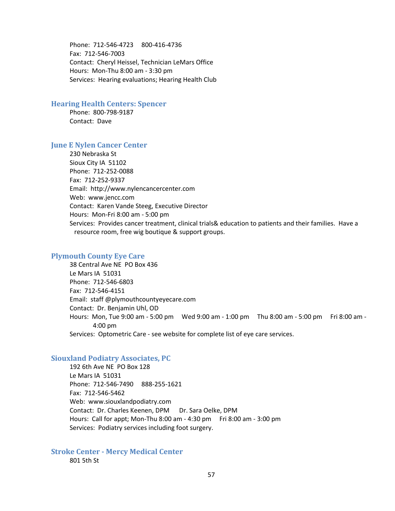Phone: 712-546-4723 800-416-4736 Fax: 712-546-7003 Contact: Cheryl Heissel, Technician LeMars Office Hours: Mon-Thu 8:00 am - 3:30 pm Services: Hearing evaluations; Hearing Health Club

### **Hearing Health Centers: Spencer**

Phone: 800-798-9187 Contact: Dave

### **June E Nylen Cancer Center**

230 Nebraska St Sioux City IA 51102 Phone: 712-252-0088 Fax: 712-252-9337 Email: http://www.nylencancercenter.com Web: www.jencc.com Contact: Karen Vande Steeg, Executive Director Hours: Mon-Fri 8:00 am - 5:00 pm Services: Provides cancer treatment, clinical trials& education to patients and their families. Have a resource room, free wig boutique & support groups.

#### **Plymouth County Eye Care**

38 Central Ave NE PO Box 436 Le Mars IA 51031 Phone: 712-546-6803 Fax: 712-546-4151 Email: staff @plymouthcountyeyecare.com Contact: Dr. Benjamin Uhl, OD Hours: Mon, Tue 9:00 am - 5:00 pm Wed 9:00 am - 1:00 pm Thu 8:00 am - 5:00 pm Fri 8:00 am - 4:00 pm Services: Optometric Care - see website for complete list of eye care services.

#### **Siouxland Podiatry Associates, PC**

192 6th Ave NE PO Box 128 Le Mars IA 51031 Phone: 712-546-7490 888-255-1621 Fax: 712-546-5462 Web: www.siouxlandpodiatry.com Contact: Dr. Charles Keenen, DPM Dr. Sara Oelke, DPM Hours: Call for appt; Mon-Thu 8:00 am - 4:30 pm Fri 8:00 am - 3:00 pm Services: Podiatry services including foot surgery.

**Stroke Center - Mercy Medical Center** 801 5th St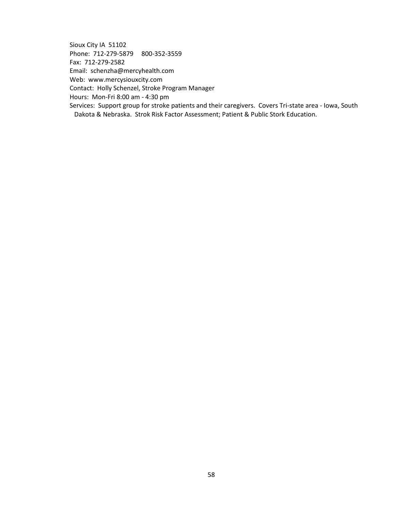Sioux City IA 51102 Phone: 712-279-5879 800-352-3559 Fax: 712-279-2582 Email: schenzha@mercyhealth.com Web: www.mercysiouxcity.com Contact: Holly Schenzel, Stroke Program Manager Hours: Mon-Fri 8:00 am - 4:30 pm Services: Support group for stroke patients and their caregivers. Covers Tri-state area - Iowa, South Dakota & Nebraska. Strok Risk Factor Assessment; Patient & Public Stork Education.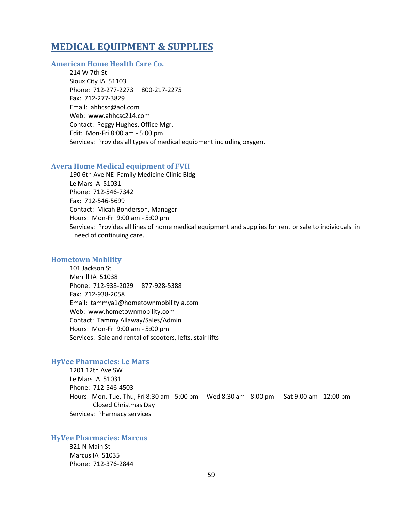## **MEDICAL EQUIPMENT & SUPPLIES**

## **American Home Health Care Co.**

214 W 7th St Sioux City IA 51103 Phone: 712-277-2273 800-217-2275 Fax: 712-277-3829 Email: ahhcsc@aol.com Web: www.ahhcsc214.com Contact: Peggy Hughes, Office Mgr. Edit: Mon-Fri 8:00 am - 5:00 pm Services: Provides all types of medical equipment including oxygen.

#### **Avera Home Medical equipment of FVH**

190 6th Ave NE Family Medicine Clinic Bldg Le Mars IA 51031 Phone: 712-546-7342 Fax: 712-546-5699 Contact: Micah Bonderson, Manager Hours: Mon-Fri 9:00 am - 5:00 pm Services: Provides all lines of home medical equipment and supplies for rent or sale to individuals in need of continuing care.

### **Hometown Mobility**

101 Jackson St Merrill IA 51038 Phone: 712-938-2029 877-928-5388 Fax: 712-938-2058 Email: tammya1@hometownmobilityla.com Web: www.hometownmobility.com Contact: Tammy Allaway/Sales/Admin Hours: Mon-Fri 9:00 am - 5:00 pm Services: Sale and rental of scooters, lefts, stair lifts

### **HyVee Pharmacies: Le Mars**

1201 12th Ave SW Le Mars IA 51031 Phone: 712-546-4503 Hours: Mon, Tue, Thu, Fri 8:30 am - 5:00 pm Wed 8:30 am - 8:00 pm Sat 9:00 am - 12:00 pm Closed Christmas Day Services: Pharmacy services

#### **HyVee Pharmacies: Marcus**

321 N Main St Marcus IA 51035 Phone: 712-376-2844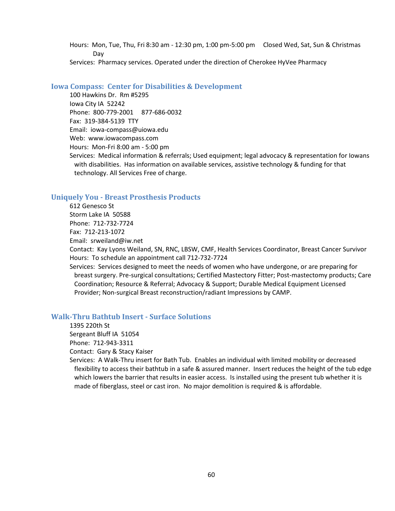Hours: Mon, Tue, Thu, Fri 8:30 am - 12:30 pm, 1:00 pm-5:00 pm Closed Wed, Sat, Sun & Christmas Day

Services: Pharmacy services. Operated under the direction of Cherokee HyVee Pharmacy

## **Iowa Compass: Center for Disabilities & Development**

100 Hawkins Dr. Rm #5295 Iowa City IA 52242 Phone: 800-779-2001 877-686-0032 Fax: 319-384-5139 TTY Email: iowa-compass@uiowa.edu Web: www.iowacompass.com Hours: Mon-Fri 8:00 am - 5:00 pm Services: Medical information & referrals; Used equipment; legal advocacy & representation for Iowans with disabilities. Has information on available services, assistive technology & funding for that technology. All Services Free of charge.

## **Uniquely You - Breast Prosthesis Products**

612 Genesco St Storm Lake IA 50588 Phone: 712-732-7724 Fax: 712-213-1072 Email: srweiland@iw.net

Contact: Kay Lyons Weiland, SN, RNC, LBSW, CMF, Health Services Coordinator, Breast Cancer Survivor Hours: To schedule an appointment call 712-732-7724

Services: Services designed to meet the needs of women who have undergone, or are preparing for breast surgery. Pre-surgical consultations; Certified Mastectory Fitter; Post-mastectomy products; Care Coordination; Resource & Referral; Advocacy & Support; Durable Medical Equipment Licensed Provider; Non-surgical Breast reconstruction/radiant Impressions by CAMP.

## **Walk-Thru Bathtub Insert - Surface Solutions**

1395 220th St Sergeant Bluff IA 51054 Phone: 712-943-3311 Contact: Gary & Stacy Kaiser

Services: A Walk-Thru insert for Bath Tub. Enables an individual with limited mobility or decreased flexibility to access their bathtub in a safe & assured manner. Insert reduces the height of the tub edge which lowers the barrier that results in easier access. Is installed using the present tub whether it is made of fiberglass, steel or cast iron. No major demolition is required & is affordable.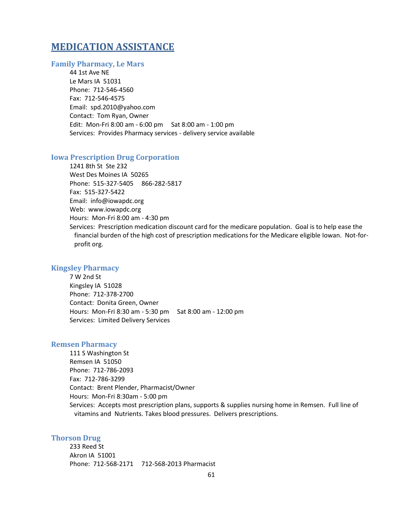## **MEDICATION ASSISTANCE**

#### **Family Pharmacy, Le Mars**

44 1st Ave NE Le Mars IA 51031 Phone: 712-546-4560 Fax: 712-546-4575 Email: spd.2010@yahoo.com Contact: Tom Ryan, Owner Edit: Mon-Fri 8:00 am - 6:00 pm Sat 8:00 am - 1:00 pm Services: Provides Pharmacy services - delivery service available

#### **Iowa Prescription Drug Corporation**

1241 8th St Ste 232 West Des Moines IA 50265 Phone: 515-327-5405 866-282-5817 Fax: 515-327-5422 Email: info@iowapdc.org Web: www.iowapdc.org Hours: Mon-Fri 8:00 am - 4:30 pm Services: Prescription medication discount card for the medicare population. Goal is to help ease the financial burden of the high cost of prescription medications for the Medicare eligible Iowan. Not-forprofit org.

## **Kingsley Pharmacy**

7 W 2nd St Kingsley IA 51028 Phone: 712-378-2700 Contact: Donita Green, Owner Hours: Mon-Fri 8:30 am - 5:30 pm Sat 8:00 am - 12:00 pm Services: Limited Delivery Services

#### **Remsen Pharmacy**

111 S Washington St Remsen IA 51050 Phone: 712-786-2093 Fax: 712-786-3299 Contact: Brent Plender, Pharmacist/Owner Hours: Mon-Fri 8:30am - 5:00 pm Services: Accepts most prescription plans, supports & supplies nursing home in Remsen. Full line of vitamins and Nutrients. Takes blood pressures. Delivers prescriptions.

#### **Thorson Drug**

233 Reed St Akron IA 51001 Phone: 712-568-2171 712-568-2013 Pharmacist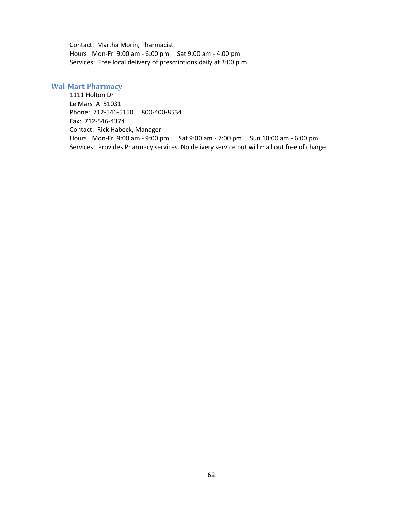Contact: Martha Morin, Pharmacist Hours: Mon-Fri 9:00 am - 6:00 pm Sat 9:00 am - 4:00 pm Services: Free local delivery of prescriptions daily at 3:00 p.m.

### **Wal-Mart Pharmacy**

1111 Holton Dr Le Mars IA 51031 Phone: 712-546-5150 800-400-8534 Fax: 712-546-4374 Contact: Rick Habeck, Manager Hours: Mon-Fri 9:00 am - 9:00 pm Sat 9:00 am - 7:00 pm Sun 10:00 am - 6:00 pm Services: Provides Pharmacy services. No delivery service but will mail out free of charge.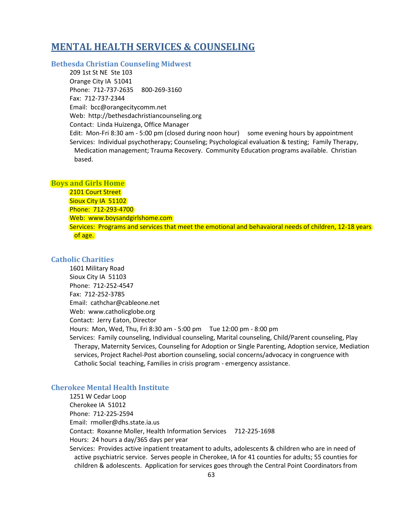## **MENTAL HEALTH SERVICES & COUNSELING**

**Bethesda Christian Counseling Midwest**

209 1st St NE Ste 103 Orange City IA 51041 Phone: 712-737-2635 800-269-3160 Fax: 712-737-2344 Email: bcc@orangecitycomm.net Web: http://bethesdachristiancounseling.org Contact: Linda Huizenga, Office Manager Edit: Mon-Fri 8:30 am - 5:00 pm (closed during noon hour) some evening hours by appointment Services: Individual psychotherapy; Counseling; Psychological evaluation & testing; Family Therapy, Medication management; Trauma Recovery. Community Education programs available. Christian based.

#### **Boys and Girls Home**

2101 Court Street Sioux City IA 51102 Phone: 712-293-4700 Web: www.boysandgirlshome.com Services: Programs and services that meet the emotional and behavaioral needs of children, 12-18 years of age.

### **Catholic Charities**

1601 Military Road Sioux City IA 51103 Phone: 712-252-4547 Fax: 712-252-3785 Email: cathchar@cableone.net Web: www.catholicglobe.org Contact: Jerry Eaton, Director Hours: Mon, Wed, Thu, Fri 8:30 am - 5:00 pm Tue 12:00 pm - 8:00 pm Services: Family counseling, Individual counseling, Marital counseling, Child/Parent counseling, Play Therapy, Maternity Services, Counseling for Adoption or Single Parenting, Adoption service, Mediation services, Project Rachel-Post abortion counseling, social concerns/advocacy in congruence with Catholic Social teaching, Families in crisis program - emergency assistance.

## **Cherokee Mental Health Institute**

1251 W Cedar Loop Cherokee IA 51012 Phone: 712-225-2594 Email: rmoller@dhs.state.ia.us Contact: Roxanne Moller, Health Information Services 712-225-1698 Hours: 24 hours a day/365 days per year Services: Provides active inpatient treatament to adults, adolescents & children who are in need of active psychiatric service. Serves people in Cherokee, IA for 41 counties for adults; 55 counties for children & adolescents. Application for services goes through the Central Point Coordinators from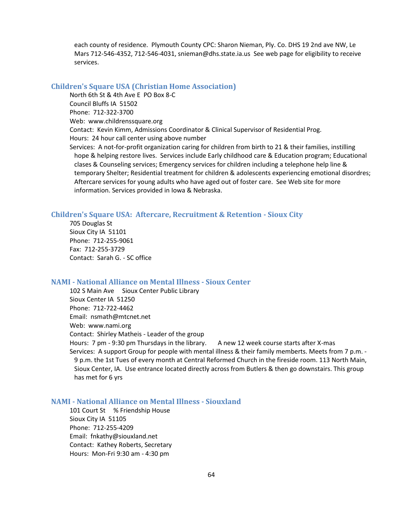each county of residence. Plymouth County CPC: Sharon Nieman, Ply. Co. DHS 19 2nd ave NW, Le Mars 712-546-4352, 712-546-4031, snieman@dhs.state.ia.us See web page for eligibility to receive services.

#### **Children's Square USA (Christian Home Association)**

North 6th St & 4th Ave E PO Box 8-C Council Bluffs IA 51502 Phone: 712-322-3700 Web: www.childrenssquare.org Contact: Kevin Kimm, Admissions Coordinator & Clinical Supervisor of Residential Prog. Hours: 24 hour call center using above number Services: A not-for-profit organization caring for children from birth to 21 & their families, instilling hope & helping restore lives. Services include Early childhood care & Education program; Educational clases & Counseling services; Emergency services for children including a telephone help line & temporary Shelter; Residential treatment for children & adolescents experiencing emotional disordres; Aftercare services for young adults who have aged out of foster care. See Web site for more information. Services provided in Iowa & Nebraska.

#### **Children's Square USA: Aftercare, Recruitment & Retention - Sioux City**

705 Douglas St Sioux City IA 51101 Phone: 712-255-9061 Fax: 712-255-3729 Contact: Sarah G. - SC office

### **NAMI - National Alliance on Mental Illness - Sioux Center**

102 S Main Ave Sioux Center Public Library Sioux Center IA 51250 Phone: 712-722-4462 Email: nsmath@mtcnet.net Web: www.nami.org Contact: Shirley Matheis - Leader of the group Hours: 7 pm - 9:30 pm Thursdays in the library. A new 12 week course starts after X-mas Services: A support Group for people with mental illness & their family memberts. Meets from 7 p.m. - 9 p.m. the 1st Tues of every month at Central Reformed Church in the fireside room. 113 North Main, Sioux Center, IA. Use entrance located directly across from Butlers & then go downstairs. This group has met for 6 yrs

## **NAMI - National Alliance on Mental Illness - Siouxland**

101 Court St % Friendship House Sioux City IA 51105 Phone: 712-255-4209 Email: fnkathy@siouxland.net Contact: Kathey Roberts, Secretary Hours: Mon-Fri 9:30 am - 4:30 pm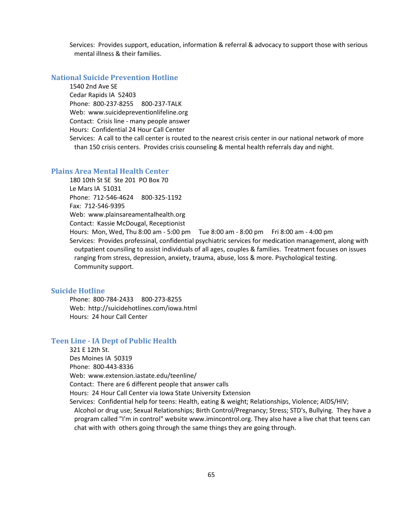Services: Provides support, education, information & referral & advocacy to support those with serious mental illness & their families.

## **National Suicide Prevention Hotline**

1540 2nd Ave SE Cedar Rapids IA 52403 Phone: 800-237-8255 800-237-TALK Web: www.suicidepreventionlifeline.org Contact: Crisis line - many people answer Hours: Confidential 24 Hour Call Center

Services: A call to the call center is routed to the nearest crisis center in our national network of more than 150 crisis centers. Provides crisis counseling & mental health referrals day and night.

## **Plains Area Mental Health Center**

180 10th St SE Ste 201 PO Box 70 Le Mars IA 51031 Phone: 712-546-4624 800-325-1192 Fax: 712-546-9395 Web: www.plainsareamentalhealth.org Contact: Kassie McDougal, Receptionist Hours: Mon, Wed, Thu 8:00 am - 5:00 pm Tue 8:00 am - 8:00 pm Fri 8:00 am - 4:00 pm

Services: Provides professinal, confidential psychiatric services for medication management, along with outpatient counsiling to assist individuals of all ages, couples & families. Treatment focuses on issues ranging from stress, depression, anxiety, trauma, abuse, loss & more. Psychological testing. Community support.

#### **Suicide Hotline**

Phone: 800-784-2433 800-273-8255 Web: http://suicidehotlines.com/iowa.html Hours: 24 hour Call Center

### **Teen Line - IA Dept of Public Health**

321 E 12th St. Des Moines IA 50319 Phone: 800-443-8336 Web: www.extension.iastate.edu/teenline/ Contact: There are 6 different people that answer calls Hours: 24 Hour Call Center via Iowa State University Extension Services: Confidential help for teens: Health, eating & weight; Relationships, Violence; AIDS/HIV; Alcohol or drug use; Sexual Relationships; Birth Control/Pregnancy; Stress; STD's, Bullying. They have a program called "I'm in control" website www.imincontrol.org. They also have a live chat that teens can chat with with others going through the same things they are going through.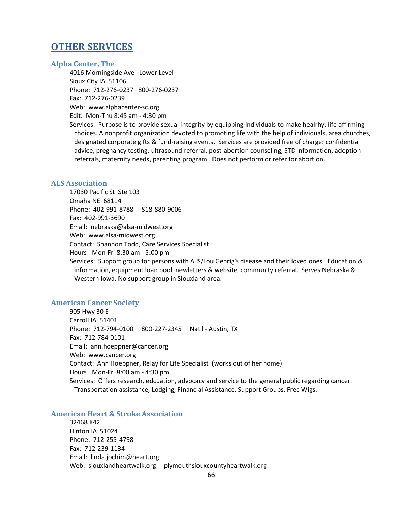## **OTHER SERVICES**

## **Alpha Center, The**

4016 Morningside Ave Lower Level Sioux City IA 51106 Phone: 712-276-0237 800-276-0237 Fax: 712-276-0239 Web: www.alphacenter-sc.org Edit: Mon-Thu 8:45 am - 4:30 pm

Services: Purpose is to provide sexual integrity by equipping individuals to make healrhy, life affirming choices. A nonprofit organization devoted to promoting life with the help of individuals, area churches, designated corporate gifts & fund-raising events. Services are provided free of charge: confidential advice, pregnancy testing, ultrasound referral, post-abortion counseling, STD information, adoption referrals, maternity needs, parenting program. Does not perform or refer for abortion.

### **ALS Association**

17030 Pacific St Ste 103 Omaha NE 68114 Phone: 402-991-8788 818-880-9006 Fax: 402-991-3690 Email: nebraska@alsa-midwest.org Web: www.alsa-midwest.org Contact: Shannon Todd, Care Services Specialist Hours: Mon-Fri 8:30 am - 5:00 pm

Services: Support group for persons with ALS/Lou Gehrig's disease and their loved ones. Education & information, equipment loan pool, newletters & website, community referral. Serves Nebraska & Western Iowa. No support group in Siouxland area.

## **American Cancer Society**

905 Hwy 30 E Carroll IA 51401 Phone: 712-794-0100 800-227-2345 Nat'l - Austin, TX Fax: 712-784-0101 Email: ann.hoeppner@cancer.org Web: www.cancer.org Contact: Ann Hoeppner, Relay for Life Specialist (works out of her home) Hours: Mon-Fri 8:00 am - 4:30 pm Services: Offers research, edcuation, advocacy and service to the general public regarding cancer. Transportation assistance, Lodging, Financial Assistance, Support Groups, Free Wigs.

## **American Heart & Stroke Association**

32468 K42 Hinton IA 51024 Phone: 712-255-4798 Fax: 712-239-1134 Email: linda.jochim@heart.org Web: siouxlandheartwalk.org plymouthsiouxcountyheartwalk.org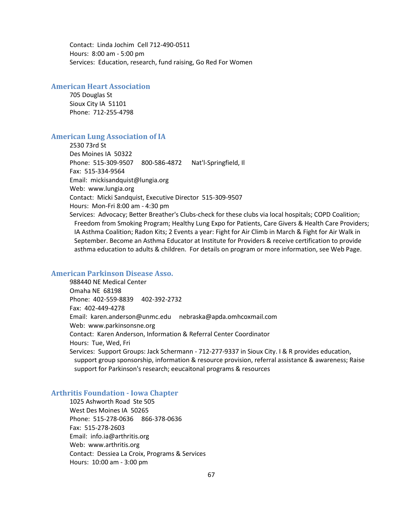Contact: Linda Jochim Cell 712-490-0511 Hours: 8:00 am - 5:00 pm Services: Education, research, fund raising, Go Red For Women

## **American Heart Association**

705 Douglas St Sioux City IA 51101 Phone: 712-255-4798

### **American Lung Association of IA**

2530 73rd St Des Moines IA 50322 Phone: 515-309-9507 800-586-4872 Nat'l-Springfield, Il Fax: 515-334-9564 Email: mickisandquist@lungia.org Web: www.lungia.org Contact: Micki Sandquist, Executive Director 515-309-9507 Hours: Mon-Fri 8:00 am - 4:30 pm Services: Advocacy; Better Breather's Clubs-check for these clubs via local hospitals; COPD Coalition; Freedom from Smoking Program; Healthy Lung Expo for Patients, Care Givers & Health Care Providers;

IA Asthma Coalition; Radon Kits; 2 Events a year: Fight for Air Climb in March & Fight for Air Walk in September. Become an Asthma Educator at Institute for Providers & receive certification to provide asthma education to adults & children. For details on program or more information, see Web Page.

## **American Parkinson Disease Asso.**

988440 NE Medical Center Omaha NE 68198 Phone: 402-559-8839 402-392-2732 Fax: 402-449-4278 Email: karen.anderson@unmc.edu nebraska@apda.omhcoxmail.com Web: www.parkinsonsne.org Contact: Karen Anderson, Information & Referral Center Coordinator Hours: Tue, Wed, Fri Services: Support Groups: Jack Schermann - 712-277-9337 in Sioux City. I & R provides education, support group sponsorship, information & resource provision, referral assistance & awareness; Raise support for Parkinson's research; eeucaitonal programs & resources

### **Arthritis Foundation - Iowa Chapter**

1025 Ashworth Road Ste 505 West Des Moines IA 50265 Phone: 515-278-0636 866-378-0636 Fax: 515-278-2603 Email: info.ia@arthritis.org Web: www.arthritis.org Contact: Dessiea La Croix, Programs & Services Hours: 10:00 am - 3:00 pm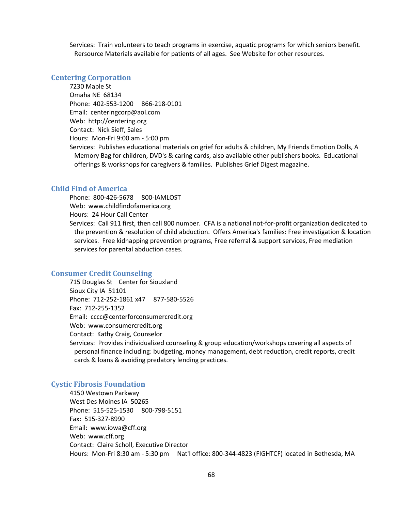Services: Train volunteers to teach programs in exercise, aquatic programs for which seniors benefit. Rersource Materials available for patients of all ages. See Website for other resources.

#### **Centering Corporation**

7230 Maple St Omaha NE 68134 Phone: 402-553-1200 866-218-0101 Email: centeringcorp@aol.com Web: http://centering.org Contact: Nick Sieff, Sales Hours: Mon-Fri 9:00 am - 5:00 pm Services: Publishes educational materials on grief for adults & children, My Friends Emotion Dolls, A Memory Bag for children, DVD's & caring cards, also available other publishers books. Educational offerings & workshops for caregivers & families. Publishes Grief Digest magazine.

## **Child Find of America**

Phone: 800-426-5678 800-IAMLOST Web: www.childfindofamerica.org Hours: 24 Hour Call Center Services: Call 911 first, then call 800 number. CFA is a national not-for-profit organization dedicated to the prevention & resolution of child abduction. Offers America's families: Free investigation & location services. Free kidnapping prevention programs, Free referral & support services, Free mediation services for parental abduction cases.

### **Consumer Credit Counseling**

715 Douglas St Center for Siouxland Sioux City IA 51101 Phone: 712-252-1861 x47 877-580-5526 Fax: 712-255-1352 Email: cccc@centerforconsumercredit.org Web: www.consumercredit.org Contact: Kathy Craig, Counselor Services: Provides individualized counseling & group education/workshops covering all aspects of personal finance including: budgeting, money management, debt reduction, credit reports, credit

cards & loans & avoiding predatory lending practices.

# **Cystic Fibrosis Foundation**

4150 Westown Parkway West Des Moines IA 50265 Phone: 515-525-1530 800-798-5151 Fax: 515-327-8990 Email: www.iowa@cff.org Web: www.cff.org Contact: Claire Scholl, Executive Director Hours: Mon-Fri 8:30 am - 5:30 pm Nat'l office: 800-344-4823 (FIGHTCF) located in Bethesda, MA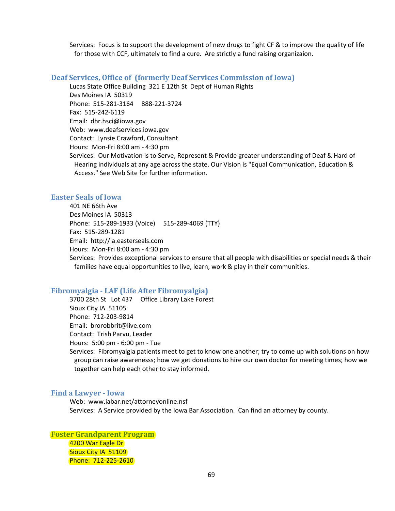Services: Focus is to support the development of new drugs to fight CF & to improve the quality of life for those with CCF, ultimately to find a cure. Are strictly a fund raising organizaion.

#### **Deaf Services, Office of (formerly Deaf Services Commission of Iowa)**

Lucas State Office Building 321 E 12th St Dept of Human Rights

Des Moines IA 50319 Phone: 515-281-3164 888-221-3724

Fax: 515-242-6119

Email: dhr.hsci@iowa.gov

Web: www.deafservices.iowa.gov

Contact: Lynsie Crawford, Consultant

Hours: Mon-Fri 8:00 am - 4:30 pm

Services: Our Motivation is to Serve, Represent & Provide greater understanding of Deaf & Hard of Hearing individuals at any age across the state. Our Vision is "Equal Communication, Education & Access." See Web Site for further information.

## **Easter Seals of Iowa**

401 NE 66th Ave Des Moines IA 50313 Phone: 515-289-1933 (Voice) 515-289-4069 (TTY) Fax: 515-289-1281 Email: http://ia.easterseals.com Hours: Mon-Fri 8:00 am - 4:30 pm Services: Provides exceptional services to ensure that all people with disabilities or special needs & their families have equal opportunities to live, learn, work & play in their communities.

## **Fibromyalgia - LAF (Life After Fibromyalgia)**

3700 28th St Lot 437 Office Library Lake Forest Sioux City IA 51105 Phone: 712-203-9814 Email: brorobbrit@live.com Contact: Trish Parvu, Leader Hours: 5:00 pm - 6:00 pm - Tue Services: Fibromyalgia patients meet to get to know one another; try to come up with solutions on how group can raise awarenesss; how we get donations to hire our own doctor for meeting times; how we together can help each other to stay informed.

### **Find a Lawyer - Iowa**

Web: www.iabar.net/attorneyonline.nsf Services: A Service provided by the Iowa Bar Association. Can find an attorney by county.

**Foster Grandparent Program** 4200 War Eagle Dr Sioux City IA 51109 Phone: 712-225-2610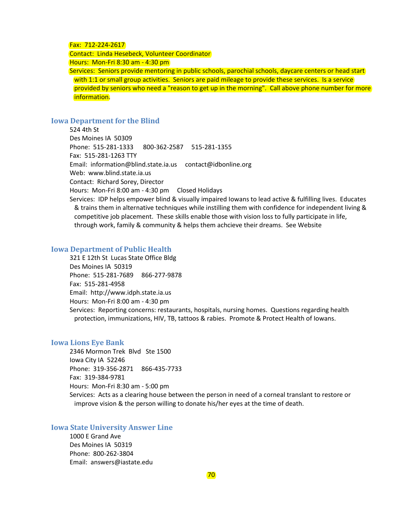#### Fax: 712-224-2617

Contact: Linda Hesebeck, Volunteer Coordinator

Hours: Mon-Fri 8:30 am - 4:30 pm

Services: Seniors provide mentoring in public schools, parochial schools, daycare centers or head start with 1:1 or small group activities. Seniors are paid mileage to provide these services. Is a service provided by seniors who need a "reason to get up in the morning". Call above phone number for more information.

## **Iowa Department for the Blind**

524 4th St Des Moines IA 50309 Phone: 515-281-1333 800-362-2587 515-281-1355 Fax: 515-281-1263 TTY Email: information@blind.state.ia.us contact@idbonline.org Web: www.blind.state.ia.us Contact: Richard Sorey, Director Hours: Mon-Fri 8:00 am - 4:30 pm Closed Holidays Services: IDP helps empower blind & visually impaired Iowans to lead active & fulfilling lives. Educates & trains them in alternative techniques while instilling them with confidence for independent living & competitive job placement. These skills enable those with vision loss to fully participate in life, through work, family & community & helps them achcieve their dreams. See Website

### **Iowa Department of Public Health**

321 E 12th St Lucas State Office Bldg Des Moines IA 50319 Phone: 515-281-7689 866-277-9878 Fax: 515-281-4958 Email: http://www.idph.state.ia.us Hours: Mon-Fri 8:00 am - 4:30 pm Services: Reporting concerns: restaurants, hospitals, nursing homes. Questions regarding health protection, immunizations, HIV, TB, tattoos & rabies. Promote & Protect Health of Iowans.

#### **Iowa Lions Eye Bank**

2346 Mormon Trek Blvd Ste 1500 Iowa City IA 52246 Phone: 319-356-2871 866-435-7733 Fax: 319-384-9781 Hours: Mon-Fri 8:30 am - 5:00 pm Services: Acts as a clearing house between the person in need of a corneal translant to restore or improve vision & the person willing to donate his/her eyes at the time of death.

### **Iowa State University Answer Line**

1000 E Grand Ave Des Moines IA 50319 Phone: 800-262-3804 Email: answers@iastate.edu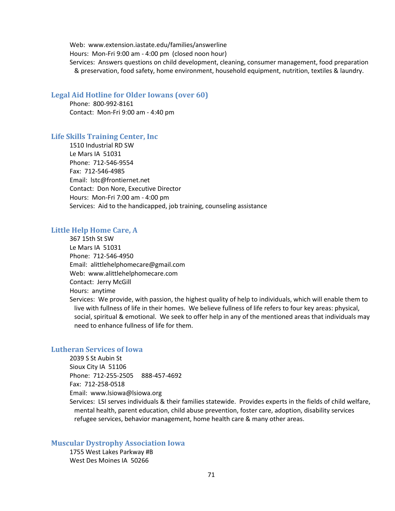Web: www.extension.iastate.edu/families/answerline Hours: Mon-Fri 9:00 am - 4:00 pm (closed noon hour) Services: Answers questions on child development, cleaning, consumer management, food preparation & preservation, food safety, home environment, household equipment, nutrition, textiles & laundry.

#### **Legal Aid Hotline for Older Iowans (over 60)**

Phone: 800-992-8161 Contact: Mon-Fri 9:00 am - 4:40 pm

#### **Life Skills Training Center, Inc**

1510 Industrial RD SW Le Mars IA 51031 Phone: 712-546-9554 Fax: 712-546-4985 Email: lstc@frontiernet.net Contact: Don Nore, Executive Director Hours: Mon-Fri 7:00 am - 4:00 pm Services: Aid to the handicapped, job training, counseling assistance

## **Little Help Home Care, A**

367 15th St SW Le Mars IA 51031 Phone: 712-546-4950 Email: alittlehelphomecare@gmail.com Web: www.alittlehelphomecare.com Contact: Jerry McGill Hours: anytime Services: We provide, with passion, the highest quality of help to individuals, which will enable them to live with fullness of life in their homes. We believe fullness of life refers to four key areas: physical, social, spiritual & emotional. We seek to offer help in any of the mentioned areas that individuals may need to enhance fullness of life for them.

### **Lutheran Services of Iowa**

2039 S St Aubin St Sioux City IA 51106 Phone: 712-255-2505 888-457-4692 Fax: 712-258-0518 Email: www.lsiowa@lsiowa.org

Services: LSI serves individuals & their families statewide. Provides experts in the fields of child welfare, mental health, parent education, child abuse prevention, foster care, adoption, disability services refugee services, behavior management, home health care & many other areas.

## **Muscular Dystrophy Association Iowa**

1755 West Lakes Parkway #B West Des Moines IA 50266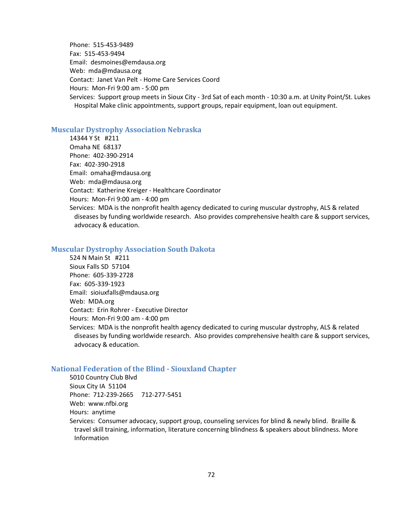Phone: 515-453-9489 Fax: 515-453-9494 Email: desmoines@emdausa.org Web: mda@mdausa.org Contact: Janet Van Pelt - Home Care Services Coord Hours: Mon-Fri 9:00 am - 5:00 pm Services: Support group meets in Sioux City - 3rd Sat of each month - 10:30 a.m. at Unity Point/St. Lukes Hospital Make clinic appointments, support groups, repair equipment, loan out equipment.

#### **Muscular Dystrophy Association Nebraska**

14344 Y St #211 Omaha NE 68137 Phone: 402-390-2914 Fax: 402-390-2918 Email: omaha@mdausa.org Web: mda@mdausa.org Contact: Katherine Kreiger - Healthcare Coordinator Hours: Mon-Fri 9:00 am - 4:00 pm Services: MDA is the nonprofit health agency dedicated to curing muscular dystrophy, ALS & related diseases by funding worldwide research. Also provides comprehensive health care & support services, advocacy & education.

### **Muscular Dystrophy Association South Dakota**

524 N Main St #211 Sioux Falls SD 57104 Phone: 605-339-2728 Fax: 605-339-1923 Email: sioiuxfalls@mdausa.org Web: MDA.org Contact: Erin Rohrer - Executive Director Hours: Mon-Fri 9:00 am - 4:00 pm Services: MDA is the nonprofit health agency dedicated to curing muscular dystrophy, ALS & related diseases by funding worldwide research. Also provides comprehensive health care & support services, advocacy & education.

### **National Federation of the Blind - Siouxland Chapter**

5010 Country Club Blvd Sioux City IA 51104 Phone: 712-239-2665 712-277-5451 Web: www.nfbi.org Hours: anytime Services: Consumer advocacy, support group, counseling services for blind & newly blind. Braille & travel skill training, information, literature concerning blindness & speakers about blindness. More Information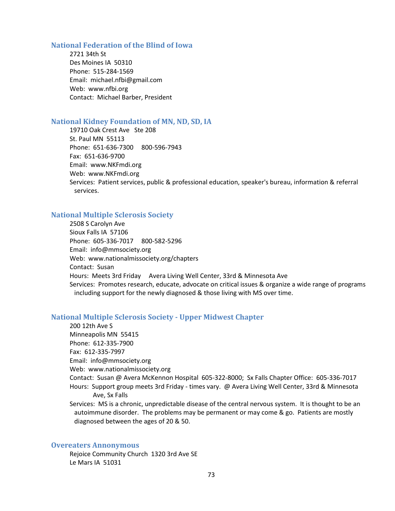#### **National Federation of the Blind of Iowa**

2721 34th St Des Moines IA 50310 Phone: 515-284-1569 Email: michael.nfbi@gmail.com Web: www.nfbi.org Contact: Michael Barber, President

#### **National Kidney Foundation of MN, ND, SD, IA**

19710 Oak Crest Ave Ste 208 St. Paul MN 55113 Phone: 651-636-7300 800-596-7943 Fax: 651-636-9700 Email: www.NKFmdi.org Web: www.NKFmdi.org Services: Patient services, public & professional education, speaker's bureau, information & referral services.

## **National Multiple Sclerosis Society**

2508 S Carolyn Ave Sioux Falls IA 57106 Phone: 605-336-7017 800-582-5296 Email: info@mmsociety.org Web: www.nationalmissociety.org/chapters Contact: Susan Hours: Meets 3rd Friday Avera Living Well Center, 33rd & Minnesota Ave Services: Promotes research, educate, advocate on critical issues & organize a wide range of programs including support for the newly diagnosed & those living with MS over time.

## **National Multiple Sclerosis Society - Upper Midwest Chapter**

200 12th Ave S Minneapolis MN 55415 Phone: 612-335-7900 Fax: 612-335-7997 Email: info@mmsociety.org Web: www.nationalmissociety.org Contact: Susan @ Avera McKennon Hospital 605-322-8000; Sx Falls Chapter Office: 605-336-7017 Hours: Support group meets 3rd Friday - times vary. @ Avera Living Well Center, 33rd & Minnesota Ave, Sx Falls Services: MS is a chronic, unpredictable disease of the central nervous system. It is thought to be an autoimmune disorder. The problems may be permanent or may come & go. Patients are mostly

# **Overeaters Annonymous**

Rejoice Community Church 1320 3rd Ave SE Le Mars IA 51031

diagnosed between the ages of 20 & 50.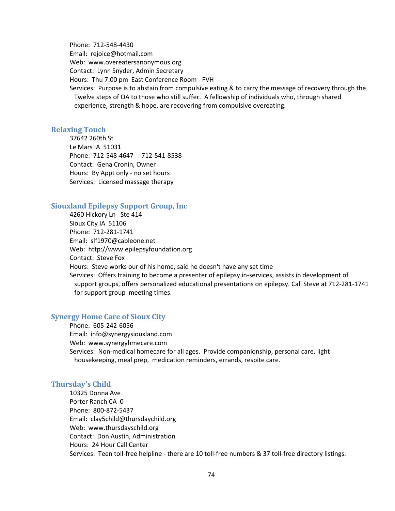Phone: 712-548-4430 Email: rejoice@hotmail.com Web: www.overeatersanonymous.org Contact: Lynn Snyder, Admin Secretary Hours: Thu 7:00 pm East Conference Room - FVH Services: Purpose is to abstain from compulsive eating & to carry the message of recovery through the Twelve steps of OA to those who still suffer. A fellowship of individuals who, through shared experience, strength & hope, are recovering from compulsive overeating.

#### **Relaxing Touch**

37642 260th St Le Mars IA 51031 Phone: 712-548-4647 712-541-8538 Contact: Gena Cronin, Owner Hours: By Appt only - no set hours Services: Licensed massage therapy

# **Siouxland Epilepsy Support Group, Inc**

4260 Hickory Ln Ste 414 Sioux City IA 51106 Phone: 712-281-1741 Email: slf1970@cableone.net Web: http://www.epilepsyfoundation.org Contact: Steve Fox Hours: Steve works our of his home, said he doesn't have any set time Services: Offers training to become a presenter of epilepsy in-services, assists in development of support groups, offers personalized educational presentations on epilepsy. Call Steve at 712-281-1741 for support group meeting times.

# **Synergy Home Care of Sioux City**

Phone: 605-242-6056 Email: info@synergysiouxland.com Web: www.synergyhmecare.com Services: Non-medical homecare for all ages. Provide companionship, personal care, light housekeeping, meal prep, medication reminders, errands, respite care.

#### **Thursday's Child**

10325 Donna Ave Porter Ranch CA 0 Phone: 800-872-5437 Email: clay5child@thursdaychild.org Web: www.thursdayschild.org Contact: Don Austin, Administration Hours: 24 Hour Call Center Services: Teen toll-free helpline - there are 10 toll-free numbers & 37 toll-free directory listings.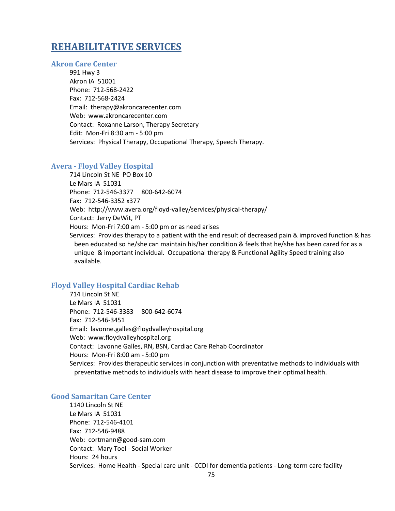# **REHABILITATIVE SERVICES**

#### **Akron Care Center**

991 Hwy 3 Akron IA 51001 Phone: 712-568-2422 Fax: 712-568-2424 Email: therapy@akroncarecenter.com Web: www.akroncarecenter.com Contact: Roxanne Larson, Therapy Secretary Edit: Mon-Fri 8:30 am - 5:00 pm Services: Physical Therapy, Occupational Therapy, Speech Therapy.

#### **Avera - Floyd Valley Hospital**

714 Lincoln St NE PO Box 10 Le Mars IA 51031 Phone: 712-546-3377 800-642-6074 Fax: 712-546-3352 x377 Web: http://www.avera.org/floyd-valley/services/physical-therapy/ Contact: Jerry DeWit, PT Hours: Mon-Fri 7:00 am - 5:00 pm or as need arises Services: Provides therapy to a patient with the end result of decreased pain & improved function & has been educated so he/she can maintain his/her condition & feels that he/she has been cared for as a unique & important individual. Occupational therapy & Functional Agility Speed training also available.

## **Floyd Valley Hospital Cardiac Rehab**

714 Lincoln St NE Le Mars IA 51031 Phone: 712-546-3383 800-642-6074 Fax: 712-546-3451 Email: lavonne.galles@floydvalleyhospital.org Web: www.floydvalleyhospital.org Contact: Lavonne Galles, RN, BSN, Cardiac Care Rehab Coordinator Hours: Mon-Fri 8:00 am - 5:00 pm Services: Provides therapeutic services in conjunction with preventative methods to individuals with preventative methods to individuals with heart disease to improve their optimal health.

#### **Good Samaritan Care Center**

1140 Lincoln St NE Le Mars IA 51031 Phone: 712-546-4101 Fax: 712-546-9488 Web: cortmann@good-sam.com Contact: Mary Toel - Social Worker Hours: 24 hours Services: Home Health - Special care unit - CCDI for dementia patients - Long-term care facility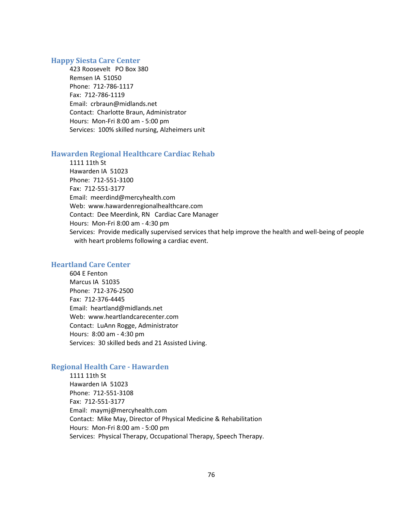#### **Happy Siesta Care Center**

423 Roosevelt PO Box 380 Remsen IA 51050 Phone: 712-786-1117 Fax: 712-786-1119 Email: crbraun@midlands.net Contact: Charlotte Braun, Administrator Hours: Mon-Fri 8:00 am - 5:00 pm Services: 100% skilled nursing, Alzheimers unit

### **Hawarden Regional Healthcare Cardiac Rehab**

1111 11th St Hawarden IA 51023 Phone: 712-551-3100 Fax: 712-551-3177 Email: meerdind@mercyhealth.com Web: www.hawardenregionalhealthcare.com Contact: Dee Meerdink, RN Cardiac Care Manager Hours: Mon-Fri 8:00 am - 4:30 pm Services: Provide medically supervised services that help improve the health and well-being of people with heart problems following a cardiac event.

## **Heartland Care Center**

604 E Fenton Marcus IA 51035 Phone: 712-376-2500 Fax: 712-376-4445 Email: heartland@midlands.net Web: www.heartlandcarecenter.com Contact: LuAnn Rogge, Administrator Hours: 8:00 am - 4:30 pm Services: 30 skilled beds and 21 Assisted Living.

# **Regional Health Care - Hawarden**

1111 11th St Hawarden IA 51023 Phone: 712-551-3108 Fax: 712-551-3177 Email: maymj@mercyhealth.com Contact: Mike May, Director of Physical Medicine & Rehabilitation Hours: Mon-Fri 8:00 am - 5:00 pm Services: Physical Therapy, Occupational Therapy, Speech Therapy.